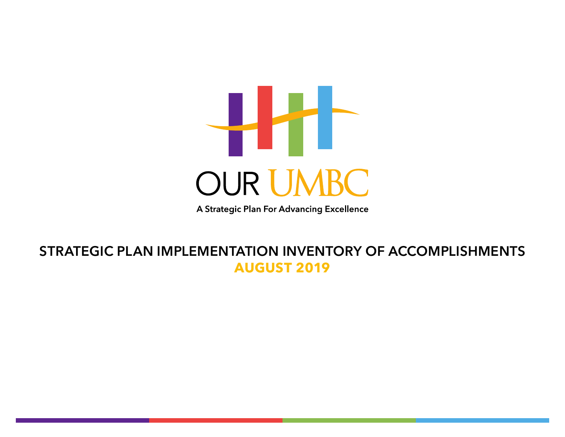

A Strategic Plan For Advancing Excellence

#### **STRATEGIC PLAN IMPLEMENTATION INVENTORY OF ACCOMPLISHMENTS AUGUST 2019**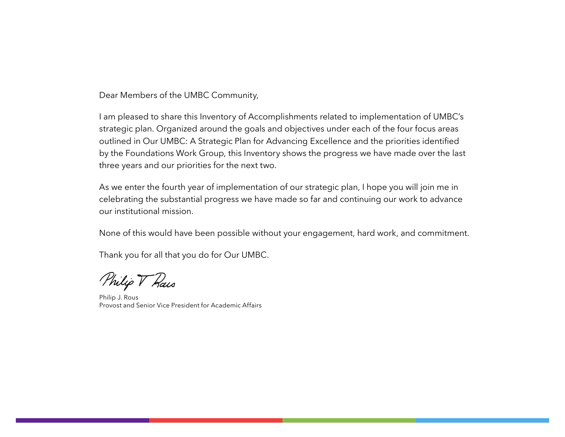Dear Members of the UMBC Community,

I am pleased to share this Inventory of Accomplishments related to implementation of UMBC's strategic plan. Organized around the goals and objectives under each of the four focus areas outlined in Our UMBC: A Strategic Plan for Advancing Excellence and the priorities identified by the Foundations Work Group, this Inventory shows the progress we have made over the last three years and our priorities for the next two.

As we enter the fourth year of implementation of our strategic plan, I hope you will join me in celebrating the substantial progress we have made so far and continuing our work to advance our institutional mission.

None of this would have been possible without your engagement, hard work, and commitment.

Thank you for all that you do for Our UMBC.

Philip V Rais

Philip J. Rous Provost and Senior Vice President for Academic Affairs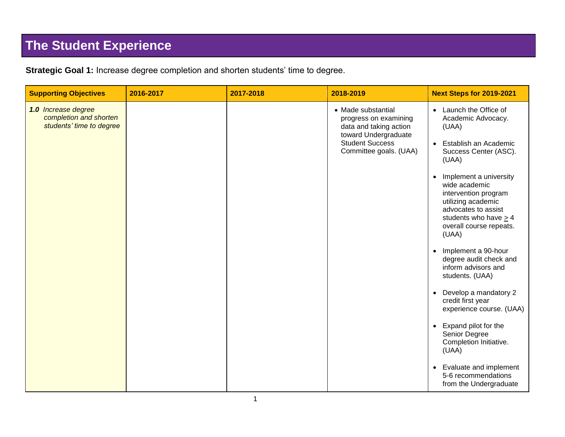## **The Student Experience**

| <b>Supporting Objectives</b>                                              | 2016-2017 | 2017-2018 | 2018-2019                                                                                                                                         | <b>Next Steps for 2019-2021</b>                                                                                                                                                                                                                                                                                                                                                                                                                                                                                                                                                                                                                                                 |
|---------------------------------------------------------------------------|-----------|-----------|---------------------------------------------------------------------------------------------------------------------------------------------------|---------------------------------------------------------------------------------------------------------------------------------------------------------------------------------------------------------------------------------------------------------------------------------------------------------------------------------------------------------------------------------------------------------------------------------------------------------------------------------------------------------------------------------------------------------------------------------------------------------------------------------------------------------------------------------|
| 1.0 Increase degree<br>completion and shorten<br>students' time to degree |           |           | • Made substantial<br>progress on examining<br>data and taking action<br>toward Undergraduate<br><b>Student Success</b><br>Committee goals. (UAA) | • Launch the Office of<br>Academic Advocacy.<br>(UAA)<br>Establish an Academic<br>$\bullet$<br>Success Center (ASC).<br>(UAA)<br>Implement a university<br>wide academic<br>intervention program<br>utilizing academic<br>advocates to assist<br>students who have $> 4$<br>overall course repeats.<br>(UAA)<br>Implement a 90-hour<br>$\bullet$<br>degree audit check and<br>inform advisors and<br>students. (UAA)<br>Develop a mandatory 2<br>$\bullet$<br>credit first year<br>experience course. (UAA)<br>Expand pilot for the<br>$\bullet$<br>Senior Degree<br>Completion Initiative.<br>(UAA)<br>Evaluate and implement<br>5-6 recommendations<br>from the Undergraduate |

**Strategic Goal 1:** Increase degree completion and shorten students' time to degree.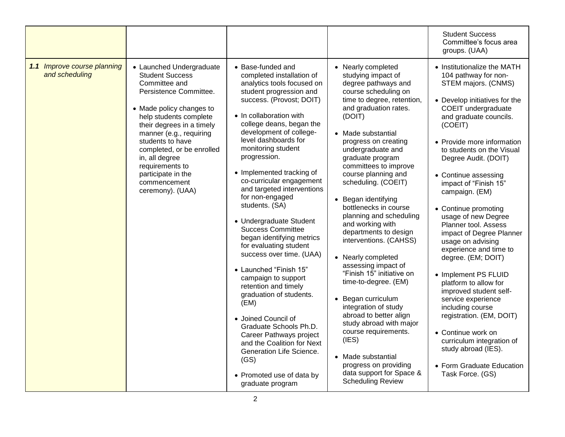|                                               |                                                                                                                                                                                                                                                                                                                                                             |                                                                                                                                                                                                                                                                                                                                                                                                                                                                                                                                                                                                                                                                                                                                                                                                                                                                              |                                                                                                                                                                                                                                                                                                                                                                                                                                                                                                                                                                                                                                                                                                                                                                                                                       | <b>Student Success</b><br>Committee's focus area<br>groups. (UAA)                                                                                                                                                                                                                                                                                                                                                                                                                                                                                                                                                                                                                                                                                                                 |
|-----------------------------------------------|-------------------------------------------------------------------------------------------------------------------------------------------------------------------------------------------------------------------------------------------------------------------------------------------------------------------------------------------------------------|------------------------------------------------------------------------------------------------------------------------------------------------------------------------------------------------------------------------------------------------------------------------------------------------------------------------------------------------------------------------------------------------------------------------------------------------------------------------------------------------------------------------------------------------------------------------------------------------------------------------------------------------------------------------------------------------------------------------------------------------------------------------------------------------------------------------------------------------------------------------------|-----------------------------------------------------------------------------------------------------------------------------------------------------------------------------------------------------------------------------------------------------------------------------------------------------------------------------------------------------------------------------------------------------------------------------------------------------------------------------------------------------------------------------------------------------------------------------------------------------------------------------------------------------------------------------------------------------------------------------------------------------------------------------------------------------------------------|-----------------------------------------------------------------------------------------------------------------------------------------------------------------------------------------------------------------------------------------------------------------------------------------------------------------------------------------------------------------------------------------------------------------------------------------------------------------------------------------------------------------------------------------------------------------------------------------------------------------------------------------------------------------------------------------------------------------------------------------------------------------------------------|
| 1.1 Improve course planning<br>and scheduling | • Launched Undergraduate<br><b>Student Success</b><br>Committee and<br>Persistence Committee.<br>• Made policy changes to<br>help students complete<br>their degrees in a timely<br>manner (e.g., requiring<br>students to have<br>completed, or be enrolled<br>in, all degree<br>requirements to<br>participate in the<br>commencement<br>ceremony). (UAA) | $\bullet$ Base-funded and<br>completed installation of<br>analytics tools focused on<br>student progression and<br>success. (Provost; DOIT)<br>• In collaboration with<br>college deans, began the<br>development of college-<br>level dashboards for<br>monitoring student<br>progression.<br>• Implemented tracking of<br>co-curricular engagement<br>and targeted interventions<br>for non-engaged<br>students. (SA)<br>• Undergraduate Student<br><b>Success Committee</b><br>began identifying metrics<br>for evaluating student<br>success over time. (UAA)<br>• Launched "Finish 15"<br>campaign to support<br>retention and timely<br>graduation of students.<br>(EM)<br>• Joined Council of<br>Graduate Schools Ph.D.<br>Career Pathways project<br>and the Coalition for Next<br>Generation Life Science.<br>(GS)<br>• Promoted use of data by<br>graduate program | • Nearly completed<br>studying impact of<br>degree pathways and<br>course scheduling on<br>time to degree, retention,<br>and graduation rates.<br>(DOIT)<br>• Made substantial<br>progress on creating<br>undergraduate and<br>graduate program<br>committees to improve<br>course planning and<br>scheduling. (COEIT)<br>• Began identifying<br>bottlenecks in course<br>planning and scheduling<br>and working with<br>departments to design<br>interventions. (CAHSS)<br>• Nearly completed<br>assessing impact of<br>"Finish 15" initiative on<br>time-to-degree. (EM)<br>• Began curriculum<br>integration of study<br>abroad to better align<br>study abroad with major<br>course requirements.<br>(IES)<br>• Made substantial<br>progress on providing<br>data support for Space &<br><b>Scheduling Review</b> | • Institutionalize the MATH<br>104 pathway for non-<br>STEM majors. (CNMS)<br>• Develop initiatives for the<br>COEIT undergraduate<br>and graduate councils.<br>(COEIT)<br>• Provide more information<br>to students on the Visual<br>Degree Audit. (DOIT)<br>• Continue assessing<br>impact of "Finish 15"<br>campaign. (EM)<br>• Continue promoting<br>usage of new Degree<br>Planner tool. Assess<br>impact of Degree Planner<br>usage on advising<br>experience and time to<br>degree. (EM; DOIT)<br>• Implement PS FLUID<br>platform to allow for<br>improved student self-<br>service experience<br>including course<br>registration. (EM, DOIT)<br>• Continue work on<br>curriculum integration of<br>study abroad (IES).<br>• Form Graduate Education<br>Task Force. (GS) |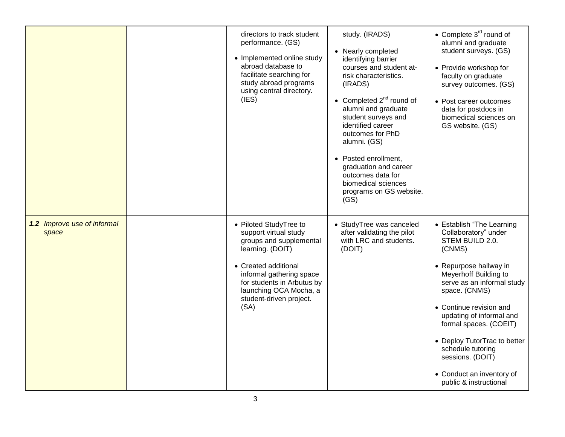|                                      | directors to track student<br>performance. (GS)<br>• Implemented online study<br>abroad database to<br>facilitate searching for<br>study abroad programs<br>using central directory.<br>(IES)                                                 | study. (IRADS)<br>• Nearly completed<br>identifying barrier<br>courses and student at-<br>risk characteristics.<br>(IRADS)<br>• Completed $2^{nd}$ round of<br>alumni and graduate<br>student surveys and<br>identified career<br>outcomes for PhD<br>alumni. (GS)<br>• Posted enrollment,<br>graduation and career<br>outcomes data for<br>biomedical sciences<br>programs on GS website.<br>(GS) | • Complete 3 <sup>rd</sup> round of<br>alumni and graduate<br>student surveys. (GS)<br>• Provide workshop for<br>faculty on graduate<br>survey outcomes. (GS)<br>• Post career outcomes<br>data for postdocs in<br>biomedical sciences on<br>GS website. (GS)                                                                                                                                     |
|--------------------------------------|-----------------------------------------------------------------------------------------------------------------------------------------------------------------------------------------------------------------------------------------------|----------------------------------------------------------------------------------------------------------------------------------------------------------------------------------------------------------------------------------------------------------------------------------------------------------------------------------------------------------------------------------------------------|---------------------------------------------------------------------------------------------------------------------------------------------------------------------------------------------------------------------------------------------------------------------------------------------------------------------------------------------------------------------------------------------------|
| 1.2 Improve use of informal<br>space | • Piloted StudyTree to<br>support virtual study<br>groups and supplemental<br>learning. (DOIT)<br>• Created additional<br>informal gathering space<br>for students in Arbutus by<br>launching OCA Mocha, a<br>student-driven project.<br>(SA) | • StudyTree was canceled<br>after validating the pilot<br>with LRC and students.<br>(DOIT)                                                                                                                                                                                                                                                                                                         | • Establish "The Learning<br>Collaboratory" under<br>STEM BUILD 2.0.<br>(CNMS)<br>• Repurpose hallway in<br>Meyerhoff Building to<br>serve as an informal study<br>space. (CNMS)<br>• Continue revision and<br>updating of informal and<br>formal spaces. (COEIT)<br>• Deploy TutorTrac to better<br>schedule tutoring<br>sessions. (DOIT)<br>• Conduct an inventory of<br>public & instructional |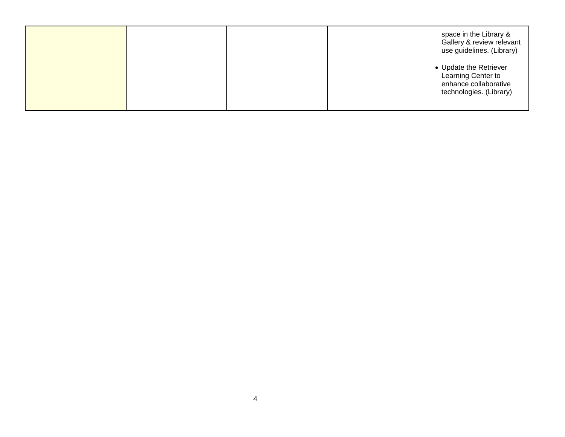|  |  | space in the Library &<br>Gallery & review relevant<br>use guidelines. (Library)                 |
|--|--|--------------------------------------------------------------------------------------------------|
|  |  | • Update the Retriever<br>Learning Center to<br>enhance collaborative<br>technologies. (Library) |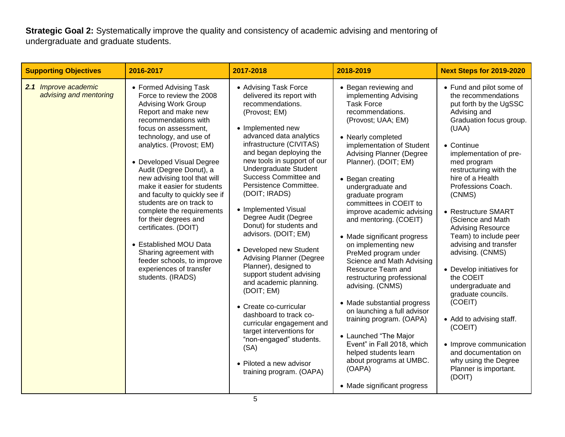**Strategic Goal 2:** Systematically improve the quality and consistency of academic advising and mentoring of undergraduate and graduate students.

| <b>Supporting Objectives</b>                   | 2016-2017                                                                                                                                                                                                                                                                                                                                                                                                                                                                                                                                                                                                        | 2017-2018                                                                                                                                                                                                                                                                                                                                                                                                                                                                                                                                                                                                                                                                                                                                                                                       | 2018-2019                                                                                                                                                                                                                                                                                                                                                                                                                                                                                                                                                                                                                                                                                                                                                                                                 | <b>Next Steps for 2019-2020</b>                                                                                                                                                                                                                                                                                                                                                                                                                                                                                                                                                                                                                                       |
|------------------------------------------------|------------------------------------------------------------------------------------------------------------------------------------------------------------------------------------------------------------------------------------------------------------------------------------------------------------------------------------------------------------------------------------------------------------------------------------------------------------------------------------------------------------------------------------------------------------------------------------------------------------------|-------------------------------------------------------------------------------------------------------------------------------------------------------------------------------------------------------------------------------------------------------------------------------------------------------------------------------------------------------------------------------------------------------------------------------------------------------------------------------------------------------------------------------------------------------------------------------------------------------------------------------------------------------------------------------------------------------------------------------------------------------------------------------------------------|-----------------------------------------------------------------------------------------------------------------------------------------------------------------------------------------------------------------------------------------------------------------------------------------------------------------------------------------------------------------------------------------------------------------------------------------------------------------------------------------------------------------------------------------------------------------------------------------------------------------------------------------------------------------------------------------------------------------------------------------------------------------------------------------------------------|-----------------------------------------------------------------------------------------------------------------------------------------------------------------------------------------------------------------------------------------------------------------------------------------------------------------------------------------------------------------------------------------------------------------------------------------------------------------------------------------------------------------------------------------------------------------------------------------------------------------------------------------------------------------------|
| 2.1 Improve academic<br>advising and mentoring | • Formed Advising Task<br>Force to review the 2008<br><b>Advising Work Group</b><br>Report and make new<br>recommendations with<br>focus on assessment,<br>technology, and use of<br>analytics. (Provost; EM)<br>• Developed Visual Degree<br>Audit (Degree Donut), a<br>new advising tool that will<br>make it easier for students<br>and faculty to quickly see if<br>students are on track to<br>complete the requirements<br>for their degrees and<br>certificates. (DOIT)<br>• Established MOU Data<br>Sharing agreement with<br>feeder schools, to improve<br>experiences of transfer<br>students. (IRADS) | • Advising Task Force<br>delivered its report with<br>recommendations.<br>(Provost; EM)<br>• Implemented new<br>advanced data analytics<br>infrastructure (CIVITAS)<br>and began deploying the<br>new tools in support of our<br>Undergraduate Student<br>Success Committee and<br>Persistence Committee.<br>(DOIT; IRADS)<br>• Implemented Visual<br>Degree Audit (Degree<br>Donut) for students and<br>advisors. (DOIT; EM)<br>• Developed new Student<br><b>Advising Planner (Degree</b><br>Planner), designed to<br>support student advising<br>and academic planning.<br>(DOIT; EM)<br>• Create co-curricular<br>dashboard to track co-<br>curricular engagement and<br>target interventions for<br>"non-engaged" students.<br>(SA)<br>• Piloted a new advisor<br>training program. (OAPA) | • Began reviewing and<br>implementing Advising<br><b>Task Force</b><br>recommendations.<br>(Provost; UAA; EM)<br>• Nearly completed<br>implementation of Student<br><b>Advising Planner (Degree</b><br>Planner). (DOIT; EM)<br>• Began creating<br>undergraduate and<br>graduate program<br>committees in COEIT to<br>improve academic advising<br>and mentoring. (COEIT)<br>• Made significant progress<br>on implementing new<br>PreMed program under<br>Science and Math Advising<br>Resource Team and<br>restructuring professional<br>advising. (CNMS)<br>• Made substantial progress<br>on launching a full advisor<br>training program. (OAPA)<br>• Launched "The Major<br>Event" in Fall 2018, which<br>helped students learn<br>about programs at UMBC.<br>(OAPA)<br>• Made significant progress | • Fund and pilot some of<br>the recommendations<br>put forth by the UgSSC<br>Advising and<br>Graduation focus group.<br>(UAA)<br>• Continue<br>implementation of pre-<br>med program<br>restructuring with the<br>hire of a Health<br>Professions Coach.<br>(CNMS)<br>• Restructure SMART<br>(Science and Math<br><b>Advising Resource</b><br>Team) to include peer<br>advising and transfer<br>advising. (CNMS)<br>• Develop initiatives for<br>the COEIT<br>undergraduate and<br>graduate councils.<br>(COEIT)<br>• Add to advising staff.<br>(COEIT)<br>• Improve communication<br>and documentation on<br>why using the Degree<br>Planner is important.<br>(DOIT) |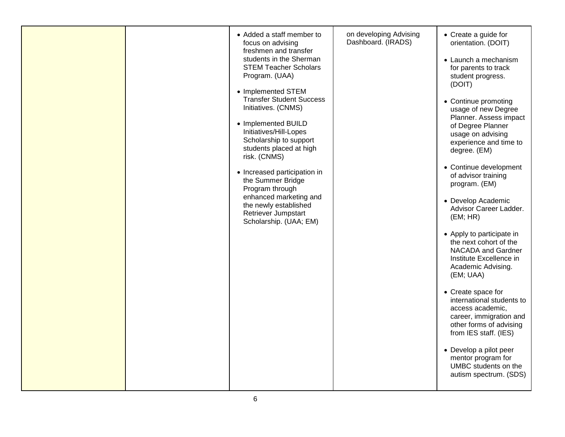|  | • Added a staff member to<br>focus on advising<br>freshmen and transfer<br>students in the Sherman<br><b>STEM Teacher Scholars</b><br>Program. (UAA)<br>• Implemented STEM<br><b>Transfer Student Success</b><br>Initiatives. (CNMS)<br>• Implemented BUILD<br>Initiatives/Hill-Lopes<br>Scholarship to support<br>students placed at high<br>risk. (CNMS)<br>• Increased participation in<br>the Summer Bridge<br>Program through<br>enhanced marketing and<br>the newly established<br>Retriever Jumpstart<br>Scholarship. (UAA; EM) | on developing Advising<br>Dashboard. (IRADS) | • Create a guide for<br>orientation. (DOIT)<br>• Launch a mechanism<br>for parents to track<br>student progress.<br>(DOIT)<br>• Continue promoting<br>usage of new Degree<br>Planner. Assess impact<br>of Degree Planner<br>usage on advising<br>experience and time to<br>degree. (EM)<br>• Continue development<br>of advisor training<br>program. (EM)<br>• Develop Academic<br>Advisor Career Ladder.<br>(EM; HR)<br>• Apply to participate in<br>the next cohort of the<br>NACADA and Gardner<br>Institute Excellence in<br>Academic Advising.<br>(EM; UAA)<br>• Create space for<br>international students to<br>access academic,<br>career, immigration and<br>other forms of advising<br>from IES staff. (IES)<br>• Develop a pilot peer<br>mentor program for<br>UMBC students on the<br>autism spectrum. (SDS) |
|--|----------------------------------------------------------------------------------------------------------------------------------------------------------------------------------------------------------------------------------------------------------------------------------------------------------------------------------------------------------------------------------------------------------------------------------------------------------------------------------------------------------------------------------------|----------------------------------------------|--------------------------------------------------------------------------------------------------------------------------------------------------------------------------------------------------------------------------------------------------------------------------------------------------------------------------------------------------------------------------------------------------------------------------------------------------------------------------------------------------------------------------------------------------------------------------------------------------------------------------------------------------------------------------------------------------------------------------------------------------------------------------------------------------------------------------|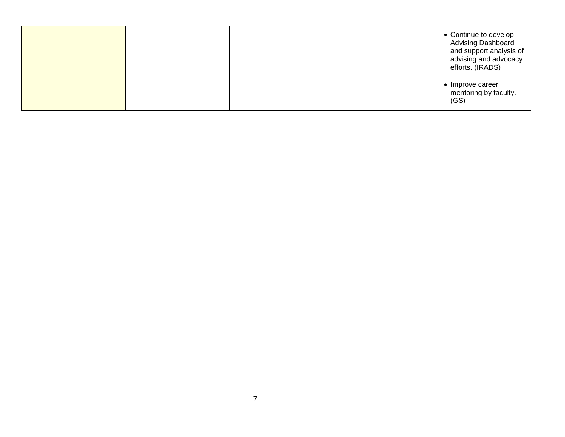|  |  | • Continue to develop<br>Advising Dashboard<br>and support analysis of<br>advising and advocacy<br>efforts. (IRADS) |
|--|--|---------------------------------------------------------------------------------------------------------------------|
|  |  | • Improve career<br>mentoring by faculty.<br>(GS)                                                                   |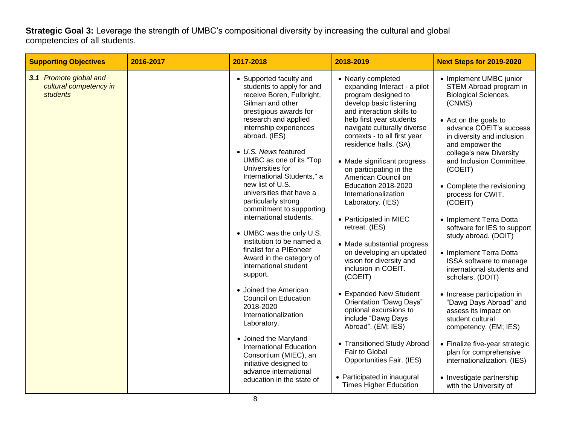**Strategic Goal 3:** Leverage the strength of UMBC's compositional diversity by increasing the cultural and global competencies of all students.

| <b>Supporting Objectives</b>                                 | 2016-2017 | 2017-2018                                                                                                                                                                                                                                                                                                                                                                                                                                                                                                                                                                                                                                                                                                                                                                                                                                                                  | 2018-2019                                                                                                                                                                                                                                                                                                                                                                                                                                                                                                                                                                                                                                                                                                                                                                                                                                                       | <b>Next Steps for 2019-2020</b>                                                                                                                                                                                                                                                                                                                                                                                                                                                                                                                                                                                                                                                                                                                                                                           |
|--------------------------------------------------------------|-----------|----------------------------------------------------------------------------------------------------------------------------------------------------------------------------------------------------------------------------------------------------------------------------------------------------------------------------------------------------------------------------------------------------------------------------------------------------------------------------------------------------------------------------------------------------------------------------------------------------------------------------------------------------------------------------------------------------------------------------------------------------------------------------------------------------------------------------------------------------------------------------|-----------------------------------------------------------------------------------------------------------------------------------------------------------------------------------------------------------------------------------------------------------------------------------------------------------------------------------------------------------------------------------------------------------------------------------------------------------------------------------------------------------------------------------------------------------------------------------------------------------------------------------------------------------------------------------------------------------------------------------------------------------------------------------------------------------------------------------------------------------------|-----------------------------------------------------------------------------------------------------------------------------------------------------------------------------------------------------------------------------------------------------------------------------------------------------------------------------------------------------------------------------------------------------------------------------------------------------------------------------------------------------------------------------------------------------------------------------------------------------------------------------------------------------------------------------------------------------------------------------------------------------------------------------------------------------------|
| 3.1 Promote global and<br>cultural competency in<br>students |           | • Supported faculty and<br>students to apply for and<br>receive Boren, Fulbright,<br>Gilman and other<br>prestigious awards for<br>research and applied<br>internship experiences<br>abroad. (IES)<br>• U.S. News featured<br>UMBC as one of its "Top<br>Universities for<br>International Students," a<br>new list of U.S.<br>universities that have a<br>particularly strong<br>commitment to supporting<br>international students.<br>• UMBC was the only U.S.<br>institution to be named a<br>finalist for a PIEoneer<br>Award in the category of<br>international student<br>support.<br>• Joined the American<br><b>Council on Education</b><br>2018-2020<br>Internationalization<br>Laboratory.<br>• Joined the Maryland<br><b>International Education</b><br>Consortium (MIEC), an<br>initiative designed to<br>advance international<br>education in the state of | • Nearly completed<br>expanding Interact - a pilot<br>program designed to<br>develop basic listening<br>and interaction skills to<br>help first year students<br>navigate culturally diverse<br>contexts - to all first year<br>residence halls. (SA)<br>• Made significant progress<br>on participating in the<br>American Council on<br><b>Education 2018-2020</b><br>Internationalization<br>Laboratory. (IES)<br>• Participated in MIEC<br>retreat. (IES)<br>• Made substantial progress<br>on developing an updated<br>vision for diversity and<br>inclusion in COEIT.<br>(COEIT)<br>• Expanded New Student<br>Orientation "Dawg Days"<br>optional excursions to<br>include "Dawg Days<br>Abroad". (EM; IES)<br>• Transitioned Study Abroad<br>Fair to Global<br>Opportunities Fair. (IES)<br>• Participated in inaugural<br><b>Times Higher Education</b> | • Implement UMBC junior<br>STEM Abroad program in<br><b>Biological Sciences.</b><br>(CNMS)<br>• Act on the goals to<br>advance COEIT's success<br>in diversity and inclusion<br>and empower the<br>college's new Diversity<br>and Inclusion Committee.<br>(COEIT)<br>• Complete the revisioning<br>process for CWIT.<br>(COEIT)<br>• Implement Terra Dotta<br>software for IES to support<br>study abroad. (DOIT)<br>• Implement Terra Dotta<br>ISSA software to manage<br>international students and<br>scholars. (DOIT)<br>• Increase participation in<br>"Dawg Days Abroad" and<br>assess its impact on<br>student cultural<br>competency. (EM; IES)<br>• Finalize five-year strategic<br>plan for comprehensive<br>internationalization. (IES)<br>• Investigate partnership<br>with the University of |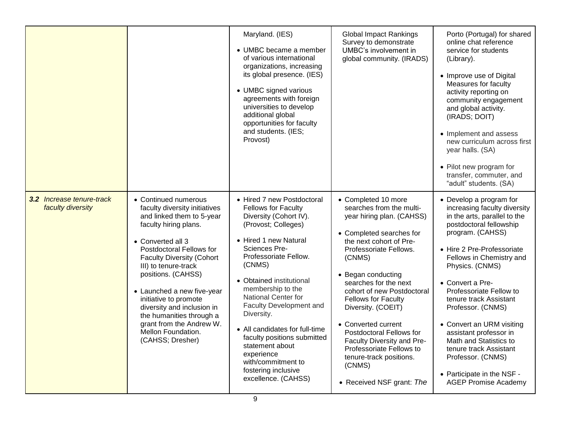|                                                |                                                                                                                                                                                                                                                                                                                                                                                                                                       | Maryland. (IES)<br>• UMBC became a member<br>of various international<br>organizations, increasing<br>its global presence. (IES)<br>• UMBC signed various<br>agreements with foreign<br>universities to develop<br>additional global<br>opportunities for faculty<br>and students. (IES;<br>Provost)                                                                                                                                                                          | <b>Global Impact Rankings</b><br>Survey to demonstrate<br>UMBC's involvement in<br>global community. (IRADS)                                                                                                                                                                                                                                                                                                                                                                            | Porto (Portugal) for shared<br>online chat reference<br>service for students<br>(Library).<br>• Improve use of Digital<br>Measures for faculty<br>activity reporting on<br>community engagement<br>and global activity.<br>(IRADS; DOIT)<br>• Implement and assess<br>new curriculum across first<br>year halls. (SA)<br>• Pilot new program for<br>transfer, commuter, and<br>"adult" students. (SA)                                                                                                          |
|------------------------------------------------|---------------------------------------------------------------------------------------------------------------------------------------------------------------------------------------------------------------------------------------------------------------------------------------------------------------------------------------------------------------------------------------------------------------------------------------|-------------------------------------------------------------------------------------------------------------------------------------------------------------------------------------------------------------------------------------------------------------------------------------------------------------------------------------------------------------------------------------------------------------------------------------------------------------------------------|-----------------------------------------------------------------------------------------------------------------------------------------------------------------------------------------------------------------------------------------------------------------------------------------------------------------------------------------------------------------------------------------------------------------------------------------------------------------------------------------|----------------------------------------------------------------------------------------------------------------------------------------------------------------------------------------------------------------------------------------------------------------------------------------------------------------------------------------------------------------------------------------------------------------------------------------------------------------------------------------------------------------|
| 3.2 Increase tenure-track<br>faculty diversity | • Continued numerous<br>faculty diversity initiatives<br>and linked them to 5-year<br>faculty hiring plans.<br>• Converted all 3<br>Postdoctoral Fellows for<br><b>Faculty Diversity (Cohort</b><br>III) to tenure-track<br>positions. (CAHSS)<br>• Launched a new five-year<br>initiative to promote<br>diversity and inclusion in<br>the humanities through a<br>grant from the Andrew W.<br>Mellon Foundation.<br>(CAHSS; Dresher) | • Hired 7 new Postdoctoral<br><b>Fellows for Faculty</b><br>Diversity (Cohort IV).<br>(Provost; Colleges)<br>• Hired 1 new Natural<br>Sciences Pre-<br>Professoriate Fellow.<br>(CNMS)<br>• Obtained institutional<br>membership to the<br>National Center for<br>Faculty Development and<br>Diversity.<br>• All candidates for full-time<br>faculty positions submitted<br>statement about<br>experience<br>with/commitment to<br>fostering inclusive<br>excellence. (CAHSS) | • Completed 10 more<br>searches from the multi-<br>year hiring plan. (CAHSS)<br>• Completed searches for<br>the next cohort of Pre-<br>Professoriate Fellows.<br>(CNMS)<br>• Began conducting<br>searches for the next<br>cohort of new Postdoctoral<br><b>Fellows for Faculty</b><br>Diversity. (COEIT)<br>• Converted current<br>Postdoctoral Fellows for<br>Faculty Diversity and Pre-<br>Professoriate Fellows to<br>tenure-track positions.<br>(CNMS)<br>• Received NSF grant: The | • Develop a program for<br>increasing faculty diversity<br>in the arts, parallel to the<br>postdoctoral fellowship<br>program. (CAHSS)<br>• Hire 2 Pre-Professoriate<br>Fellows in Chemistry and<br>Physics. (CNMS)<br>• Convert a Pre-<br>Professoriate Fellow to<br>tenure track Assistant<br>Professor. (CNMS)<br>• Convert an URM visiting<br>assistant professor in<br>Math and Statistics to<br>tenure track Assistant<br>Professor. (CNMS)<br>• Participate in the NSF -<br><b>AGEP Promise Academy</b> |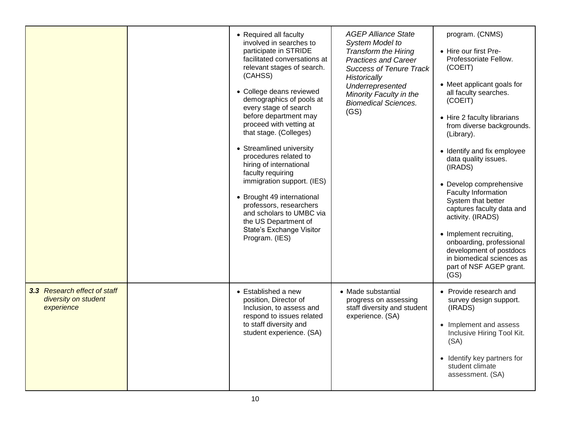|                                                                    | • Required all faculty                                                                                                                                                                                                                                                                                                                                                                                                                                                                                                                                                                 | <b>AGEP Alliance State</b>                                                                                                                                                                                            | program. (CNMS)                                                                                                                                                                                                                                                                                                                                                                                                                                                                                                                                     |
|--------------------------------------------------------------------|----------------------------------------------------------------------------------------------------------------------------------------------------------------------------------------------------------------------------------------------------------------------------------------------------------------------------------------------------------------------------------------------------------------------------------------------------------------------------------------------------------------------------------------------------------------------------------------|-----------------------------------------------------------------------------------------------------------------------------------------------------------------------------------------------------------------------|-----------------------------------------------------------------------------------------------------------------------------------------------------------------------------------------------------------------------------------------------------------------------------------------------------------------------------------------------------------------------------------------------------------------------------------------------------------------------------------------------------------------------------------------------------|
|                                                                    | involved in searches to<br>participate in STRIDE<br>facilitated conversations at<br>relevant stages of search.<br>(CAHSS)<br>• College deans reviewed<br>demographics of pools at<br>every stage of search<br>before department may<br>proceed with vetting at<br>that stage. (Colleges)<br>• Streamlined university<br>procedures related to<br>hiring of international<br>faculty requiring<br>immigration support. (IES)<br>• Brought 49 international<br>professors, researchers<br>and scholars to UMBC via<br>the US Department of<br>State's Exchange Visitor<br>Program. (IES) | System Model to<br><b>Transform the Hiring</b><br><b>Practices and Career</b><br><b>Success of Tenure Track</b><br>Historically<br>Underrepresented<br>Minority Faculty in the<br><b>Biomedical Sciences.</b><br>(GS) | • Hire our first Pre-<br>Professoriate Fellow.<br>(COEIT)<br>• Meet applicant goals for<br>all faculty searches.<br>(COEIT)<br>• Hire 2 faculty librarians<br>from diverse backgrounds.<br>(Library).<br>• Identify and fix employee<br>data quality issues.<br>(IRADS)<br>• Develop comprehensive<br>Faculty Information<br>System that better<br>captures faculty data and<br>activity. (IRADS)<br>• Implement recruiting,<br>onboarding, professional<br>development of postdocs<br>in biomedical sciences as<br>part of NSF AGEP grant.<br>(GS) |
| 3.3 Research effect of staff<br>diversity on student<br>experience | • Established a new<br>position, Director of<br>Inclusion, to assess and<br>respond to issues related<br>to staff diversity and<br>student experience. (SA)                                                                                                                                                                                                                                                                                                                                                                                                                            | • Made substantial<br>progress on assessing<br>staff diversity and student<br>experience. (SA)                                                                                                                        | • Provide research and<br>survey design support.<br>(IRADS)<br>• Implement and assess<br>Inclusive Hiring Tool Kit.<br>(SA)<br>• Identify key partners for<br>student climate<br>assessment. (SA)                                                                                                                                                                                                                                                                                                                                                   |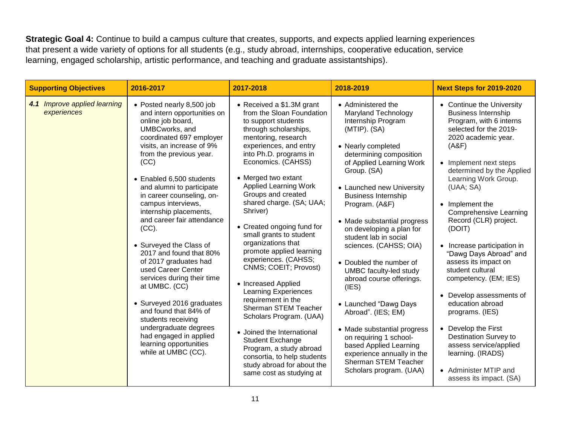**Strategic Goal 4:** Continue to build a campus culture that creates, supports, and expects applied learning experiences that present a wide variety of options for all students (e.g., study abroad, internships, cooperative education, service learning, engaged scholarship, artistic performance, and teaching and graduate assistantships).

| <b>Supporting Objectives</b>                | 2016-2017                                                                                                                                                                                                                                                                                                                                                                                                                                                                                                                                                                                                                                                                                                    | 2017-2018                                                                                                                                                                                                                                                                                                                                                                                                                                                                                                                                                                                                                                                                                                                                                                                     | 2018-2019                                                                                                                                                                                                                                                                                                                                                                                                                                                                                                                                                                                                                                                                                | <b>Next Steps for 2019-2020</b>                                                                                                                                                                                                                                                                                                                                                                                                                                                                                                                                                                                                                                                            |
|---------------------------------------------|--------------------------------------------------------------------------------------------------------------------------------------------------------------------------------------------------------------------------------------------------------------------------------------------------------------------------------------------------------------------------------------------------------------------------------------------------------------------------------------------------------------------------------------------------------------------------------------------------------------------------------------------------------------------------------------------------------------|-----------------------------------------------------------------------------------------------------------------------------------------------------------------------------------------------------------------------------------------------------------------------------------------------------------------------------------------------------------------------------------------------------------------------------------------------------------------------------------------------------------------------------------------------------------------------------------------------------------------------------------------------------------------------------------------------------------------------------------------------------------------------------------------------|------------------------------------------------------------------------------------------------------------------------------------------------------------------------------------------------------------------------------------------------------------------------------------------------------------------------------------------------------------------------------------------------------------------------------------------------------------------------------------------------------------------------------------------------------------------------------------------------------------------------------------------------------------------------------------------|--------------------------------------------------------------------------------------------------------------------------------------------------------------------------------------------------------------------------------------------------------------------------------------------------------------------------------------------------------------------------------------------------------------------------------------------------------------------------------------------------------------------------------------------------------------------------------------------------------------------------------------------------------------------------------------------|
| 4.1 Improve applied learning<br>experiences | • Posted nearly 8,500 job<br>and intern opportunities on<br>online job board,<br>UMBCworks, and<br>coordinated 697 employer<br>visits, an increase of 9%<br>from the previous year.<br>(CC)<br>• Enabled 6,500 students<br>and alumni to participate<br>in career counseling, on-<br>campus interviews,<br>internship placements,<br>and career fair attendance<br>(CC).<br>• Surveyed the Class of<br>2017 and found that 80%<br>of 2017 graduates had<br>used Career Center<br>services during their time<br>at UMBC. (CC)<br>• Surveyed 2016 graduates<br>and found that 84% of<br>students receiving<br>undergraduate degrees<br>had engaged in applied<br>learning opportunities<br>while at UMBC (CC). | • Received a \$1.3M grant<br>from the Sloan Foundation<br>to support students<br>through scholarships,<br>mentoring, research<br>experiences, and entry<br>into Ph.D. programs in<br>Economics. (CAHSS)<br>• Merged two extant<br>Applied Learning Work<br>Groups and created<br>shared charge. (SA; UAA;<br>Shriver)<br>• Created ongoing fund for<br>small grants to student<br>organizations that<br>promote applied learning<br>experiences. (CAHSS;<br>CNMS; COEIT; Provost)<br>• Increased Applied<br><b>Learning Experiences</b><br>requirement in the<br>Sherman STEM Teacher<br>Scholars Program. (UAA)<br>• Joined the International<br><b>Student Exchange</b><br>Program, a study abroad<br>consortia, to help students<br>study abroad for about the<br>same cost as studying at | • Administered the<br>Maryland Technology<br>Internship Program<br>$(MTIP)$ . $(SA)$<br>• Nearly completed<br>determining composition<br>of Applied Learning Work<br>Group. (SA)<br>• Launched new University<br><b>Business Internship</b><br>Program. (A&F)<br>• Made substantial progress<br>on developing a plan for<br>student lab in social<br>sciences. (CAHSS; OIA)<br>• Doubled the number of<br>UMBC faculty-led study<br>abroad course offerings.<br>(IES)<br>• Launched "Dawg Days<br>Abroad". (IES; EM)<br>• Made substantial progress<br>on requiring 1 school-<br>based Applied Learning<br>experience annually in the<br>Sherman STEM Teacher<br>Scholars program. (UAA) | • Continue the University<br><b>Business Internship</b><br>Program, with 6 interns<br>selected for the 2019-<br>2020 academic year.<br>(A&F)<br>• Implement next steps<br>determined by the Applied<br>Learning Work Group.<br>(UAA; SA)<br>• Implement the<br><b>Comprehensive Learning</b><br>Record (CLR) project.<br>(DOIT)<br>• Increase participation in<br>"Dawg Days Abroad" and<br>assess its impact on<br>student cultural<br>competency. (EM; IES)<br>• Develop assessments of<br>education abroad<br>programs. (IES)<br>• Develop the First<br><b>Destination Survey to</b><br>assess service/applied<br>learning. (IRADS)<br>• Administer MTIP and<br>assess its impact. (SA) |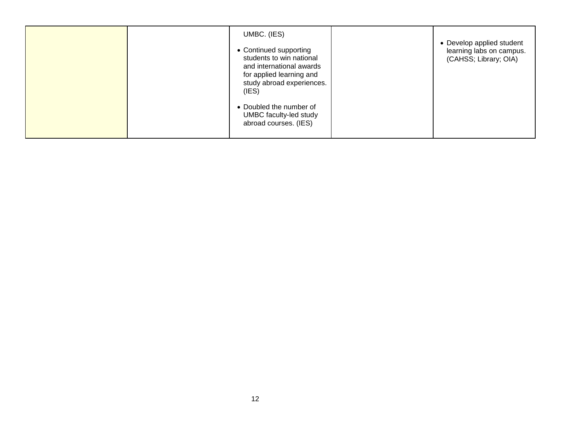| UMBC. (IES)<br>• Continued supporting<br>students to win national<br>and international awards<br>for applied learning and<br>study abroad experiences.<br>(IES) | • Develop applied student<br>learning labs on campus.<br>(CAHSS; Library; OIA) |
|-----------------------------------------------------------------------------------------------------------------------------------------------------------------|--------------------------------------------------------------------------------|
| • Doubled the number of<br>UMBC faculty-led study<br>abroad courses. (IES)                                                                                      |                                                                                |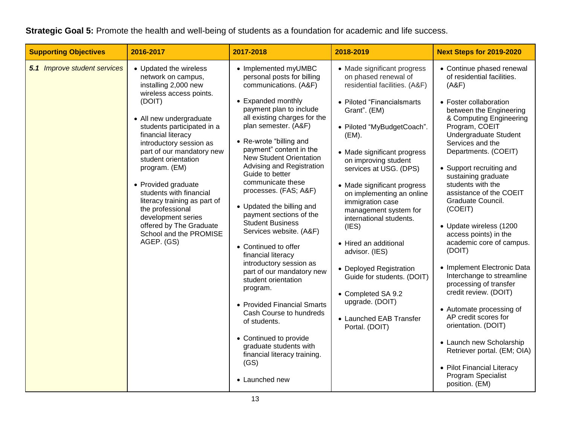| Strategic Goal 5: Promote the health and well-being of students as a foundation for academic and life success. |
|----------------------------------------------------------------------------------------------------------------|
|----------------------------------------------------------------------------------------------------------------|

| <b>Supporting Objectives</b> | 2016-2017                                                                                                                                                                                                                                                                                                                                                                                                                                                                               | 2017-2018                                                                                                                                                                                                                                                                                                                                                                                                                                                                                                                                                                                                                                                                                                                                                                                                                 | 2018-2019                                                                                                                                                                                                                                                                                                                                                                                                                                                                                                                                                                                         | <b>Next Steps for 2019-2020</b>                                                                                                                                                                                                                                                                                                                                                                                                                                                                                                                                                                                                                                                                                                                                                                               |
|------------------------------|-----------------------------------------------------------------------------------------------------------------------------------------------------------------------------------------------------------------------------------------------------------------------------------------------------------------------------------------------------------------------------------------------------------------------------------------------------------------------------------------|---------------------------------------------------------------------------------------------------------------------------------------------------------------------------------------------------------------------------------------------------------------------------------------------------------------------------------------------------------------------------------------------------------------------------------------------------------------------------------------------------------------------------------------------------------------------------------------------------------------------------------------------------------------------------------------------------------------------------------------------------------------------------------------------------------------------------|---------------------------------------------------------------------------------------------------------------------------------------------------------------------------------------------------------------------------------------------------------------------------------------------------------------------------------------------------------------------------------------------------------------------------------------------------------------------------------------------------------------------------------------------------------------------------------------------------|---------------------------------------------------------------------------------------------------------------------------------------------------------------------------------------------------------------------------------------------------------------------------------------------------------------------------------------------------------------------------------------------------------------------------------------------------------------------------------------------------------------------------------------------------------------------------------------------------------------------------------------------------------------------------------------------------------------------------------------------------------------------------------------------------------------|
| 5.1 Improve student services | • Updated the wireless<br>network on campus,<br>installing 2,000 new<br>wireless access points.<br>(DOIT)<br>• All new undergraduate<br>students participated in a<br>financial literacy<br>introductory session as<br>part of our mandatory new<br>student orientation<br>program. (EM)<br>• Provided graduate<br>students with financial<br>literacy training as part of<br>the professional<br>development series<br>offered by The Graduate<br>School and the PROMISE<br>AGEP. (GS) | • Implemented myUMBC<br>personal posts for billing<br>communications. (A&F)<br>• Expanded monthly<br>payment plan to include<br>all existing charges for the<br>plan semester. (A&F)<br>• Re-wrote "billing and<br>payment" content in the<br><b>New Student Orientation</b><br>Advising and Registration<br>Guide to better<br>communicate these<br>processes. (FAS; A&F)<br>• Updated the billing and<br>payment sections of the<br><b>Student Business</b><br>Services website. (A&F)<br>• Continued to offer<br>financial literacy<br>introductory session as<br>part of our mandatory new<br>student orientation<br>program.<br>• Provided Financial Smarts<br>Cash Course to hundreds<br>of students.<br>• Continued to provide<br>graduate students with<br>financial literacy training.<br>(GS)<br>• Launched new | • Made significant progress<br>on phased renewal of<br>residential facilities. (A&F)<br>• Piloted "Financialsmarts<br>Grant". (EM)<br>· Piloted "MyBudgetCoach".<br>(EM).<br>• Made significant progress<br>on improving student<br>services at USG. (DPS)<br>• Made significant progress<br>on implementing an online<br>immigration case<br>management system for<br>international students.<br>(IES)<br>• Hired an additional<br>advisor. (IES)<br>• Deployed Registration<br>Guide for students. (DOIT)<br>• Completed SA 9.2<br>upgrade. (DOIT)<br>• Launched EAB Transfer<br>Portal. (DOIT) | • Continue phased renewal<br>of residential facilities.<br>(A&F)<br>• Foster collaboration<br>between the Engineering<br>& Computing Engineering<br>Program, COEIT<br><b>Undergraduate Student</b><br>Services and the<br>Departments. (COEIT)<br>• Support recruiting and<br>sustaining graduate<br>students with the<br>assistance of the COEIT<br>Graduate Council.<br>(COEIT)<br>• Update wireless (1200<br>access points) in the<br>academic core of campus.<br>(DOIT)<br>• Implement Electronic Data<br>Interchange to streamline<br>processing of transfer<br>credit review. (DOIT)<br>• Automate processing of<br>AP credit scores for<br>orientation. (DOIT)<br>• Launch new Scholarship<br>Retriever portal. (EM; OIA)<br>• Pilot Financial Literacy<br><b>Program Specialist</b><br>position. (EM) |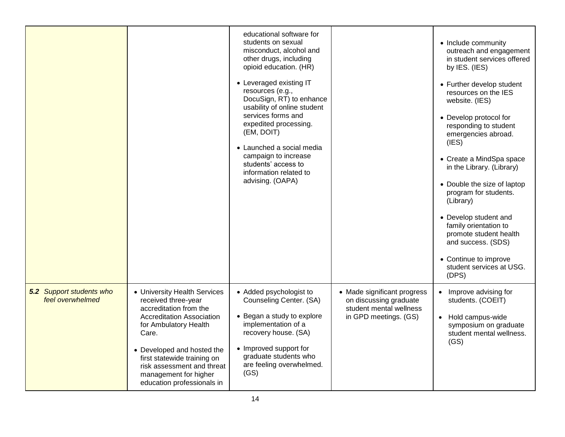|                                              |                                                                                                                                                                                                                                                                                                | educational software for<br>students on sexual<br>misconduct, alcohol and<br>other drugs, including<br>opioid education. (HR)<br>• Leveraged existing IT<br>resources (e.g.,<br>DocuSign, RT) to enhance<br>usability of online student<br>services forms and<br>expedited processing.<br>(EM, DOIT)<br>• Launched a social media<br>campaign to increase<br>students' access to<br>information related to<br>advising. (OAPA) |                                                                                                           | • Include community<br>outreach and engagement<br>in student services offered<br>by IES. (IES)<br>• Further develop student<br>resources on the IES<br>website. (IES)<br>• Develop protocol for<br>responding to student<br>emergencies abroad.<br>(IES)<br>• Create a MindSpa space<br>in the Library. (Library)<br>• Double the size of laptop<br>program for students.<br>(Library)<br>• Develop student and<br>family orientation to<br>promote student health<br>and success. (SDS)<br>• Continue to improve<br>student services at USG.<br>(DPS) |
|----------------------------------------------|------------------------------------------------------------------------------------------------------------------------------------------------------------------------------------------------------------------------------------------------------------------------------------------------|--------------------------------------------------------------------------------------------------------------------------------------------------------------------------------------------------------------------------------------------------------------------------------------------------------------------------------------------------------------------------------------------------------------------------------|-----------------------------------------------------------------------------------------------------------|--------------------------------------------------------------------------------------------------------------------------------------------------------------------------------------------------------------------------------------------------------------------------------------------------------------------------------------------------------------------------------------------------------------------------------------------------------------------------------------------------------------------------------------------------------|
| 5.2 Support students who<br>feel overwhelmed | • University Health Services<br>received three-year<br>accreditation from the<br>Accreditation Association<br>for Ambulatory Health<br>Care.<br>• Developed and hosted the<br>first statewide training on<br>risk assessment and threat<br>management for higher<br>education professionals in | • Added psychologist to<br>Counseling Center. (SA)<br>• Began a study to explore<br>implementation of a<br>recovery house. (SA)<br>• Improved support for<br>graduate students who<br>are feeling overwhelmed.<br>(GS)                                                                                                                                                                                                         | • Made significant progress<br>on discussing graduate<br>student mental wellness<br>in GPD meetings. (GS) | Improve advising for<br>students. (COEIT)<br>• Hold campus-wide<br>symposium on graduate<br>student mental wellness.<br>(GS)                                                                                                                                                                                                                                                                                                                                                                                                                           |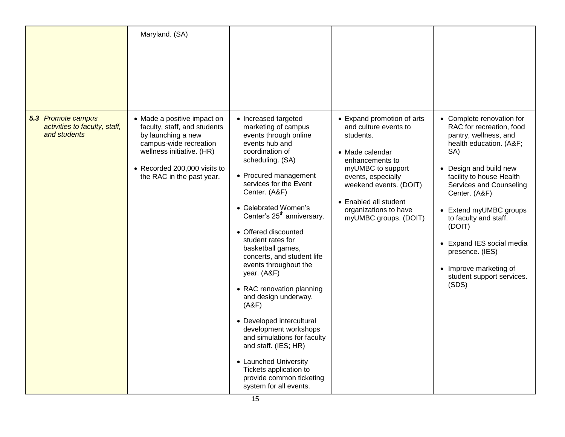|                                                                     | Maryland. (SA)                                                                                                                                                                                        |                                                                                                                                                                                                                                                                                                                                                                                                                                                                                                                                                                                                                                                                                                 |                                                                                                                                                                                                                                                        |                                                                                                                                                                                                                                                                                                                                                                                                |
|---------------------------------------------------------------------|-------------------------------------------------------------------------------------------------------------------------------------------------------------------------------------------------------|-------------------------------------------------------------------------------------------------------------------------------------------------------------------------------------------------------------------------------------------------------------------------------------------------------------------------------------------------------------------------------------------------------------------------------------------------------------------------------------------------------------------------------------------------------------------------------------------------------------------------------------------------------------------------------------------------|--------------------------------------------------------------------------------------------------------------------------------------------------------------------------------------------------------------------------------------------------------|------------------------------------------------------------------------------------------------------------------------------------------------------------------------------------------------------------------------------------------------------------------------------------------------------------------------------------------------------------------------------------------------|
| 5.3 Promote campus<br>activities to faculty, staff,<br>and students | • Made a positive impact on<br>faculty, staff, and students<br>by launching a new<br>campus-wide recreation<br>wellness initiative. (HR)<br>• Recorded 200,000 visits to<br>the RAC in the past year. | • Increased targeted<br>marketing of campus<br>events through online<br>events hub and<br>coordination of<br>scheduling. (SA)<br>• Procured management<br>services for the Event<br>Center. (A&F)<br>• Celebrated Women's<br>Center's 25 <sup>th</sup> anniversary.<br>• Offered discounted<br>student rates for<br>basketball games,<br>concerts, and student life<br>events throughout the<br>year. (A&F)<br>• RAC renovation planning<br>and design underway.<br>(A&F)<br>• Developed intercultural<br>development workshops<br>and simulations for faculty<br>and staff. (IES; HR)<br>• Launched University<br>Tickets application to<br>provide common ticketing<br>system for all events. | • Expand promotion of arts<br>and culture events to<br>students.<br>• Made calendar<br>enhancements to<br>myUMBC to support<br>events, especially<br>weekend events. (DOIT)<br>• Enabled all student<br>organizations to have<br>myUMBC groups. (DOIT) | • Complete renovation for<br>RAC for recreation, food<br>pantry, wellness, and<br>health education. (A&F<br>SA)<br>• Design and build new<br>facility to house Health<br>Services and Counseling<br>Center. (A&F)<br>• Extend myUMBC groups<br>to faculty and staff.<br>(DOIT)<br>• Expand IES social media<br>presence. (IES)<br>• Improve marketing of<br>student support services.<br>(SDS) |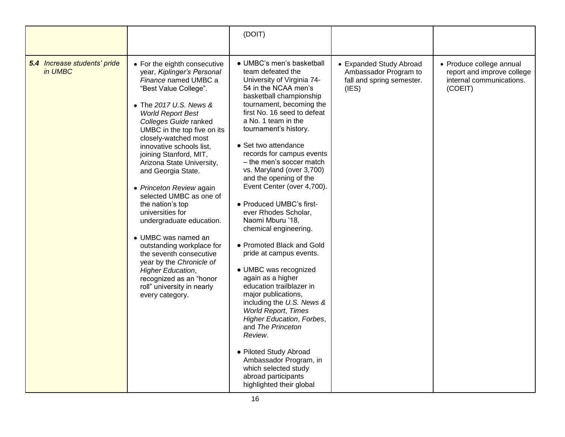|                                         |                                                                                                                                                                                                                                                                                                                                                                                                                                                                                                                                                                                                                                                                                                          | (DOIT)                                                                                                                                                                                                                                                                                                                                                                                                                                                                                                                                                                                                                                                                                                                                                                                                                                                                                                                            |                                                                                        |                                                                                               |
|-----------------------------------------|----------------------------------------------------------------------------------------------------------------------------------------------------------------------------------------------------------------------------------------------------------------------------------------------------------------------------------------------------------------------------------------------------------------------------------------------------------------------------------------------------------------------------------------------------------------------------------------------------------------------------------------------------------------------------------------------------------|-----------------------------------------------------------------------------------------------------------------------------------------------------------------------------------------------------------------------------------------------------------------------------------------------------------------------------------------------------------------------------------------------------------------------------------------------------------------------------------------------------------------------------------------------------------------------------------------------------------------------------------------------------------------------------------------------------------------------------------------------------------------------------------------------------------------------------------------------------------------------------------------------------------------------------------|----------------------------------------------------------------------------------------|-----------------------------------------------------------------------------------------------|
| 5.4 Increase students' pride<br>in UMBC | • For the eighth consecutive<br>year, Kiplinger's Personal<br>Finance named UMBC a<br>"Best Value College".<br>• The 2017 U.S. News &<br><b>World Report Best</b><br>Colleges Guide ranked<br>UMBC in the top five on its<br>closely-watched most<br>innovative schools list.<br>joining Stanford, MIT,<br>Arizona State University,<br>and Georgia State.<br>• Princeton Review again<br>selected UMBC as one of<br>the nation's top<br>universities for<br>undergraduate education.<br>• UMBC was named an<br>outstanding workplace for<br>the seventh consecutive<br>year by the Chronicle of<br><b>Higher Education,</b><br>recognized as an "honor<br>roll" university in nearly<br>every category. | • UMBC's men's basketball<br>team defeated the<br>University of Virginia 74-<br>54 in the NCAA men's<br>basketball championship<br>tournament, becoming the<br>first No. 16 seed to defeat<br>a No. 1 team in the<br>tournament's history.<br>• Set two attendance<br>records for campus events<br>– the men's soccer match<br>vs. Maryland (over 3,700)<br>and the opening of the<br>Event Center (over 4,700).<br>• Produced UMBC's first-<br>ever Rhodes Scholar,<br>Naomi Mburu '18,<br>chemical engineering.<br>• Promoted Black and Gold<br>pride at campus events.<br>· UMBC was recognized<br>again as a higher<br>education trailblazer in<br>major publications,<br>including the U.S. News &<br><b>World Report, Times</b><br>Higher Education, Forbes,<br>and The Princeton<br>Review.<br>• Piloted Study Abroad<br>Ambassador Program, in<br>which selected study<br>abroad participants<br>highlighted their global | • Expanded Study Abroad<br>Ambassador Program to<br>fall and spring semester.<br>(IES) | • Produce college annual<br>report and improve college<br>internal communications.<br>(COEIT) |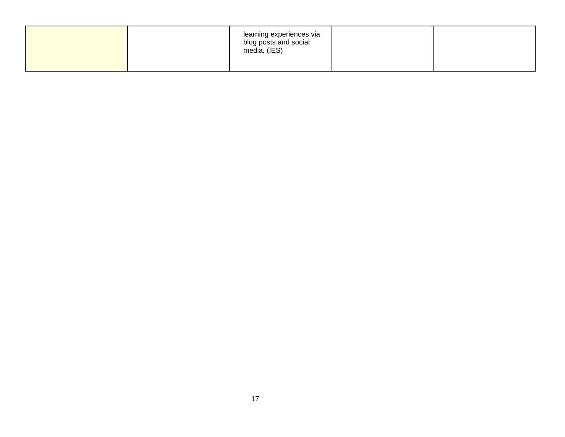|  | learning experiences via<br>blog posts and social<br>media. (IES) |  |
|--|-------------------------------------------------------------------|--|
|  |                                                                   |  |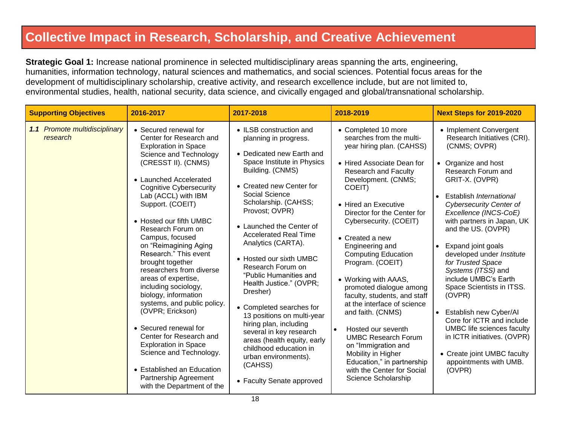### **Collective Impact in Research, Scholarship, and Creative Achievement**

**Strategic Goal 1:** Increase national prominence in selected multidisciplinary areas spanning the arts, engineering, humanities, information technology, natural sciences and mathematics, and social sciences. Potential focus areas for the development of multidisciplinary scholarship, creative activity, and research excellence include, but are not limited to, environmental studies, health, national security, data science, and civically engaged and global/transnational scholarship.

| <b>Supporting Objectives</b>              | 2016-2017                                                                                                                                                                                                                                                                                                                                                                                                                                                                                                                                                                                                                                                                                                                                 | 2017-2018                                                                                                                                                                                                                                                                                                                                                                                                                                                                                                                                                                                                                                                          | 2018-2019                                                                                                                                                                                                                                                                                                                                                                                                                                                                                                                                                                                                                                                                      | <b>Next Steps for 2019-2020</b>                                                                                                                                                                                                                                                                                                                                                                                                                                                                                                                                                                                                                        |
|-------------------------------------------|-------------------------------------------------------------------------------------------------------------------------------------------------------------------------------------------------------------------------------------------------------------------------------------------------------------------------------------------------------------------------------------------------------------------------------------------------------------------------------------------------------------------------------------------------------------------------------------------------------------------------------------------------------------------------------------------------------------------------------------------|--------------------------------------------------------------------------------------------------------------------------------------------------------------------------------------------------------------------------------------------------------------------------------------------------------------------------------------------------------------------------------------------------------------------------------------------------------------------------------------------------------------------------------------------------------------------------------------------------------------------------------------------------------------------|--------------------------------------------------------------------------------------------------------------------------------------------------------------------------------------------------------------------------------------------------------------------------------------------------------------------------------------------------------------------------------------------------------------------------------------------------------------------------------------------------------------------------------------------------------------------------------------------------------------------------------------------------------------------------------|--------------------------------------------------------------------------------------------------------------------------------------------------------------------------------------------------------------------------------------------------------------------------------------------------------------------------------------------------------------------------------------------------------------------------------------------------------------------------------------------------------------------------------------------------------------------------------------------------------------------------------------------------------|
| 1.1 Promote multidisciplinary<br>research | • Secured renewal for<br>Center for Research and<br><b>Exploration in Space</b><br>Science and Technology<br>(CRESST II). (CNMS)<br>• Launched Accelerated<br><b>Cognitive Cybersecurity</b><br>Lab (ACCL) with IBM<br>Support. (COEIT)<br>• Hosted our fifth UMBC<br>Research Forum on<br>Campus, focused<br>on "Reimagining Aging<br>Research." This event<br>brought together<br>researchers from diverse<br>areas of expertise,<br>including sociology,<br>biology, information<br>systems, and public policy.<br>(OVPR; Erickson)<br>• Secured renewal for<br>Center for Research and<br><b>Exploration in Space</b><br>Science and Technology.<br>• Established an Education<br>Partnership Agreement<br>with the Department of the | • ILSB construction and<br>planning in progress.<br>• Dedicated new Earth and<br>Space Institute in Physics<br>Building. (CNMS)<br>• Created new Center for<br>Social Science<br>Scholarship. (CAHSS;<br>Provost; OVPR)<br>• Launched the Center of<br><b>Accelerated Real Time</b><br>Analytics (CARTA).<br>• Hosted our sixth UMBC<br>Research Forum on<br>"Public Humanities and<br>Health Justice." (OVPR;<br>Dresher)<br>• Completed searches for<br>13 positions on multi-year<br>hiring plan, including<br>several in key research<br>areas (health equity, early<br>childhood education in<br>urban environments).<br>(CAHSS)<br>• Faculty Senate approved | • Completed 10 more<br>searches from the multi-<br>year hiring plan. (CAHSS)<br>• Hired Associate Dean for<br><b>Research and Faculty</b><br>Development. (CNMS;<br>COEIT)<br>• Hired an Executive<br>Director for the Center for<br>Cybersecurity. (COEIT)<br>• Created a new<br>Engineering and<br><b>Computing Education</b><br>Program. (COEIT)<br>• Working with AAAS,<br>promoted dialogue among<br>faculty, students, and staff<br>at the interface of science<br>and faith. (CNMS)<br>Hosted our seventh<br><b>UMBC Research Forum</b><br>on "Immigration and<br>Mobility in Higher<br>Education," in partnership<br>with the Center for Social<br>Science Scholarship | • Implement Convergent<br>Research Initiatives (CRI).<br>(CNMS; OVPR)<br>• Organize and host<br>Research Forum and<br>GRIT-X. (OVPR)<br>Establish International<br><b>Cybersecurity Center of</b><br>Excellence (INCS-CoE)<br>with partners in Japan, UK<br>and the US. (OVPR)<br>Expand joint goals<br>developed under Institute<br>for Trusted Space<br>Systems (ITSS) and<br>include UMBC's Earth<br>Space Scientists in ITSS.<br>(OVPR)<br>Establish new Cyber/AI<br>$\bullet$<br>Core for ICTR and include<br><b>UMBC</b> life sciences faculty<br>in ICTR initiatives. (OVPR)<br>• Create joint UMBC faculty<br>appointments with UMB.<br>(OVPR) |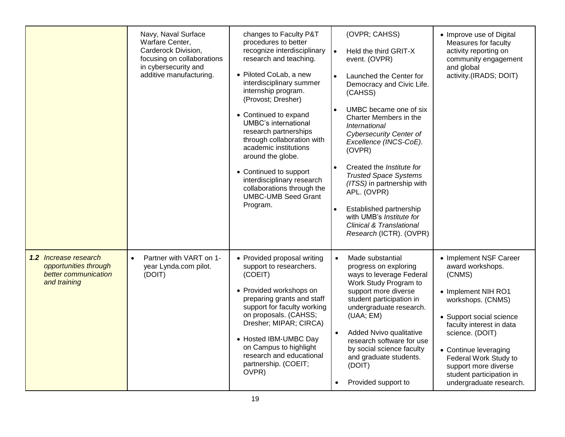|                                                                                               | Navy, Naval Surface<br>Warfare Center,<br>Carderock Division,<br>focusing on collaborations<br>in cybersecurity and<br>additive manufacturing. | changes to Faculty P&T<br>procedures to better<br>recognize interdisciplinary<br>research and teaching.<br>• Piloted CoLab, a new<br>interdisciplinary summer<br>internship program.<br>(Provost; Dresher)<br>• Continued to expand<br><b>UMBC's international</b><br>research partnerships<br>through collaboration with<br>academic institutions<br>around the globe.<br>• Continued to support<br>interdisciplinary research<br>collaborations through the<br><b>UMBC-UMB Seed Grant</b><br>Program. | (OVPR; CAHSS)<br>$\bullet$<br>Held the third GRIT-X<br>event. (OVPR)<br>Launched the Center for<br>Democracy and Civic Life.<br>(CAHSS)<br>UMBC became one of six<br>Charter Members in the<br>International<br><b>Cybersecurity Center of</b><br>Excellence (INCS-CoE).<br>(OVPR)<br>Created the Institute for<br><b>Trusted Space Systems</b><br>(ITSS) in partnership with<br>APL. (OVPR)<br>Established partnership<br>with UMB's Institute for<br><b>Clinical &amp; Translational</b><br>Research (ICTR). (OVPR) | • Improve use of Digital<br>Measures for faculty<br>activity reporting on<br>community engagement<br>and global<br>activity.(IRADS; DOIT)                                                                                                                                                                    |
|-----------------------------------------------------------------------------------------------|------------------------------------------------------------------------------------------------------------------------------------------------|---------------------------------------------------------------------------------------------------------------------------------------------------------------------------------------------------------------------------------------------------------------------------------------------------------------------------------------------------------------------------------------------------------------------------------------------------------------------------------------------------------|-----------------------------------------------------------------------------------------------------------------------------------------------------------------------------------------------------------------------------------------------------------------------------------------------------------------------------------------------------------------------------------------------------------------------------------------------------------------------------------------------------------------------|--------------------------------------------------------------------------------------------------------------------------------------------------------------------------------------------------------------------------------------------------------------------------------------------------------------|
| <b>1.2</b> Increase research<br>opportunities through<br>better communication<br>and training | Partner with VART on 1-<br>$\bullet$<br>year Lynda.com pilot.<br>(DOIT)                                                                        | • Provided proposal writing<br>support to researchers.<br>(COEIT)<br>• Provided workshops on<br>preparing grants and staff<br>support for faculty working<br>on proposals. (CAHSS;<br>Dresher; MIPAR; CIRCA)<br>• Hosted IBM-UMBC Day<br>on Campus to highlight<br>research and educational<br>partnership. (COEIT;<br>OVPR)                                                                                                                                                                            | Made substantial<br>$\bullet$<br>progress on exploring<br>ways to leverage Federal<br>Work Study Program to<br>support more diverse<br>student participation in<br>undergraduate research.<br>(UAA; EM)<br>Added Nvivo qualitative<br>$\bullet$<br>research software for use<br>by social science faculty<br>and graduate students.<br>(DOIT)<br>Provided support to                                                                                                                                                  | • Implement NSF Career<br>award workshops.<br>(CNMS)<br>• Implement NIH RO1<br>workshops. (CNMS)<br>• Support social science<br>faculty interest in data<br>science. (DOIT)<br>• Continue leveraging<br>Federal Work Study to<br>support more diverse<br>student participation in<br>undergraduate research. |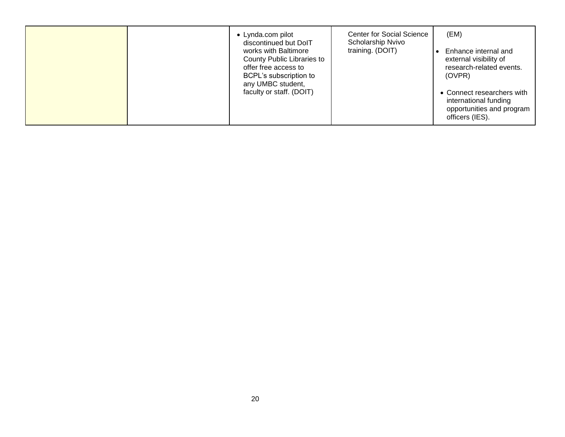|  | • Lynda.com pilot<br>discontinued but DolT<br>works with Baltimore<br>County Public Libraries to<br>offer free access to<br>BCPL's subscription to<br>any UMBC student,<br>faculty or staff. (DOIT) | <b>Center for Social Science</b><br>Scholarship Nvivo<br>training. (DOIT) | (EM)<br>Enhance internal and<br>external visibility of<br>research-related events.<br>(OVPR)<br>• Connect researchers with<br>international funding<br>opportunities and program<br>officers (IES). |
|--|-----------------------------------------------------------------------------------------------------------------------------------------------------------------------------------------------------|---------------------------------------------------------------------------|-----------------------------------------------------------------------------------------------------------------------------------------------------------------------------------------------------|
|--|-----------------------------------------------------------------------------------------------------------------------------------------------------------------------------------------------------|---------------------------------------------------------------------------|-----------------------------------------------------------------------------------------------------------------------------------------------------------------------------------------------------|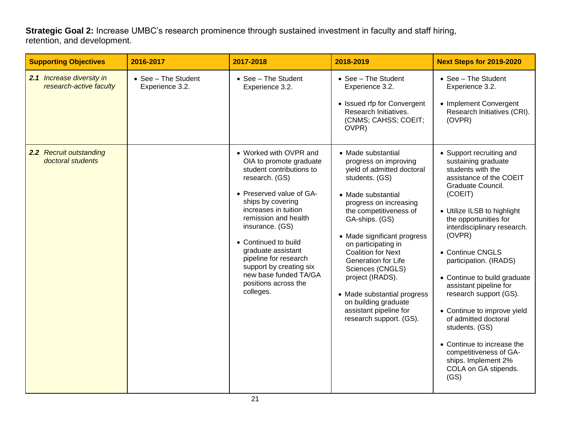**Strategic Goal 2:** Increase UMBC's research prominence through sustained investment in faculty and staff hiring, retention, and development.

| <b>Supporting Objectives</b>                         | 2016-2017                              | 2017-2018                                                                                                                                                                                                                                                                                                                                                                           | 2018-2019                                                                                                                                                                                                                                                                                                                                                                                                                                             | <b>Next Steps for 2019-2020</b>                                                                                                                                                                                                                                                                                                                                                                                                                                                                                                                            |
|------------------------------------------------------|----------------------------------------|-------------------------------------------------------------------------------------------------------------------------------------------------------------------------------------------------------------------------------------------------------------------------------------------------------------------------------------------------------------------------------------|-------------------------------------------------------------------------------------------------------------------------------------------------------------------------------------------------------------------------------------------------------------------------------------------------------------------------------------------------------------------------------------------------------------------------------------------------------|------------------------------------------------------------------------------------------------------------------------------------------------------------------------------------------------------------------------------------------------------------------------------------------------------------------------------------------------------------------------------------------------------------------------------------------------------------------------------------------------------------------------------------------------------------|
| 2.1 Increase diversity in<br>research-active faculty | • See - The Student<br>Experience 3.2. | • See - The Student<br>Experience 3.2.                                                                                                                                                                                                                                                                                                                                              | • See - The Student<br>Experience 3.2.<br>• Issued rfp for Convergent<br>Research Initiatives.<br>(CNMS; CAHSS; COEIT;<br>OVPR)                                                                                                                                                                                                                                                                                                                       | • See - The Student<br>Experience 3.2.<br>• Implement Convergent<br>Research Initiatives (CRI).<br>(OVPR)                                                                                                                                                                                                                                                                                                                                                                                                                                                  |
| 2.2 Recruit outstanding<br>doctoral students         |                                        | • Worked with OVPR and<br>OIA to promote graduate<br>student contributions to<br>research. (GS)<br>• Preserved value of GA-<br>ships by covering<br>increases in tuition<br>remission and health<br>insurance. (GS)<br>• Continued to build<br>graduate assistant<br>pipeline for research<br>support by creating six<br>new base funded TA/GA<br>positions across the<br>colleges. | • Made substantial<br>progress on improving<br>yield of admitted doctoral<br>students. (GS)<br>• Made substantial<br>progress on increasing<br>the competitiveness of<br>GA-ships. (GS)<br>• Made significant progress<br>on participating in<br><b>Coalition for Next</b><br>Generation for Life<br>Sciences (CNGLS)<br>project (IRADS).<br>• Made substantial progress<br>on building graduate<br>assistant pipeline for<br>research support. (GS). | • Support recruiting and<br>sustaining graduate<br>students with the<br>assistance of the COEIT<br>Graduate Council.<br>(COEIT)<br>• Utilize ILSB to highlight<br>the opportunities for<br>interdisciplinary research.<br>(OVPR)<br>• Continue CNGLS<br>participation. (IRADS)<br>• Continue to build graduate<br>assistant pipeline for<br>research support (GS).<br>• Continue to improve yield<br>of admitted doctoral<br>students. (GS)<br>• Continue to increase the<br>competitiveness of GA-<br>ships. Implement 2%<br>COLA on GA stipends.<br>(GS) |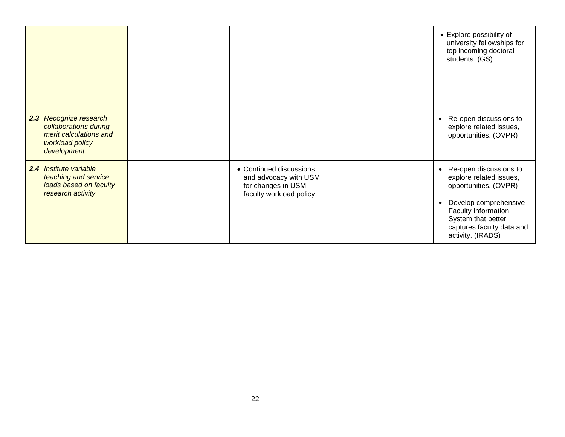|                                                                                                              |                                                                                                    | • Explore possibility of<br>university fellowships for<br>top incoming doctoral<br>students. (GS)                                                                                                  |
|--------------------------------------------------------------------------------------------------------------|----------------------------------------------------------------------------------------------------|----------------------------------------------------------------------------------------------------------------------------------------------------------------------------------------------------|
| 2.3 Recognize research<br>collaborations during<br>merit calculations and<br>workload policy<br>development. |                                                                                                    | • Re-open discussions to<br>explore related issues,<br>opportunities. (OVPR)                                                                                                                       |
| 2.4 Institute variable<br>teaching and service<br>loads based on faculty<br>research activity                | • Continued discussions<br>and advocacy with USM<br>for changes in USM<br>faculty workload policy. | Re-open discussions to<br>explore related issues,<br>opportunities. (OVPR)<br>Develop comprehensive<br>Faculty Information<br>System that better<br>captures faculty data and<br>activity. (IRADS) |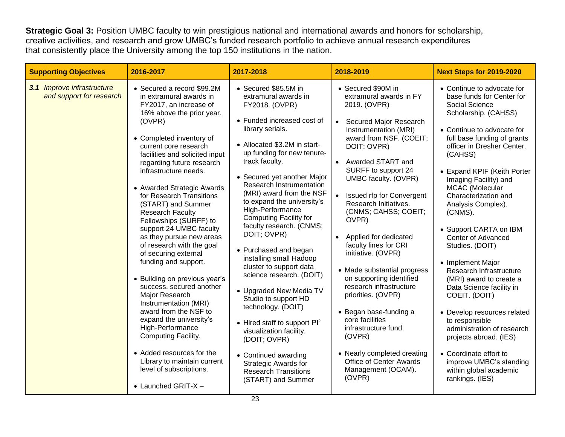**Strategic Goal 3:** Position UMBC faculty to win prestigious national and international awards and honors for scholarship, creative activities, and research and grow UMBC's funded research portfolio to achieve annual research expenditures that consistently place the University among the top 150 institutions in the nation.

| <b>Supporting Objectives</b>                           | 2016-2017                                                                                                                                                                                                                                                                                                                                                                                                                                                                                                                                                                                                                                                                                                                                                                                                                                                         | 2017-2018                                                                                                                                                                                                                                                                                                                                                                                                                                                                                                                                                                                                                                                                                                                                                                                           | 2018-2019                                                                                                                                                                                                                                                                                                                                                                                                                                                                                                                                                                                                                                                                                                                        | <b>Next Steps for 2019-2020</b>                                                                                                                                                                                                                                                                                                                                                                                                                                                                                                                                                                                                                                                                                                                   |
|--------------------------------------------------------|-------------------------------------------------------------------------------------------------------------------------------------------------------------------------------------------------------------------------------------------------------------------------------------------------------------------------------------------------------------------------------------------------------------------------------------------------------------------------------------------------------------------------------------------------------------------------------------------------------------------------------------------------------------------------------------------------------------------------------------------------------------------------------------------------------------------------------------------------------------------|-----------------------------------------------------------------------------------------------------------------------------------------------------------------------------------------------------------------------------------------------------------------------------------------------------------------------------------------------------------------------------------------------------------------------------------------------------------------------------------------------------------------------------------------------------------------------------------------------------------------------------------------------------------------------------------------------------------------------------------------------------------------------------------------------------|----------------------------------------------------------------------------------------------------------------------------------------------------------------------------------------------------------------------------------------------------------------------------------------------------------------------------------------------------------------------------------------------------------------------------------------------------------------------------------------------------------------------------------------------------------------------------------------------------------------------------------------------------------------------------------------------------------------------------------|---------------------------------------------------------------------------------------------------------------------------------------------------------------------------------------------------------------------------------------------------------------------------------------------------------------------------------------------------------------------------------------------------------------------------------------------------------------------------------------------------------------------------------------------------------------------------------------------------------------------------------------------------------------------------------------------------------------------------------------------------|
| 3.1 Improve infrastructure<br>and support for research | • Secured a record \$99.2M<br>in extramural awards in<br>FY2017, an increase of<br>16% above the prior year.<br>(OVPR)<br>• Completed inventory of<br>current core research<br>facilities and solicited input<br>regarding future research<br>infrastructure needs.<br>• Awarded Strategic Awards<br>for Research Transitions<br>(START) and Summer<br><b>Research Faculty</b><br>Fellowships (SURFF) to<br>support 24 UMBC faculty<br>as they pursue new areas<br>of research with the goal<br>of securing external<br>funding and support.<br>• Building on previous year's<br>success, secured another<br>Major Research<br>Instrumentation (MRI)<br>award from the NSF to<br>expand the university's<br>High-Performance<br>Computing Facility.<br>• Added resources for the<br>Library to maintain current<br>level of subscriptions.<br>• Launched GRIT-X - | • Secured \$85.5M in<br>extramural awards in<br>FY2018. (OVPR)<br>• Funded increased cost of<br>library serials.<br>• Allocated \$3.2M in start-<br>up funding for new tenure-<br>track faculty.<br>• Secured yet another Major<br>Research Instrumentation<br>(MRI) award from the NSF<br>to expand the university's<br>High-Performance<br><b>Computing Facility for</b><br>faculty research. (CNMS;<br>DOIT; OVPR)<br>• Purchased and began<br>installing small Hadoop<br>cluster to support data<br>science research. (DOIT)<br>• Upgraded New Media TV<br>Studio to support HD<br>technology. (DOIT)<br>• Hired staff to support $Pl^2$<br>visualization facility.<br>(DOIT; OVPR)<br>• Continued awarding<br><b>Strategic Awards for</b><br><b>Research Transitions</b><br>(START) and Summer | • Secured \$90M in<br>extramural awards in FY<br>2019. (OVPR)<br>Secured Major Research<br>$\bullet$<br>Instrumentation (MRI)<br>award from NSF. (COEIT;<br>DOIT; OVPR)<br>Awarded START and<br>$\bullet$<br>SURFF to support 24<br>UMBC faculty. (OVPR)<br>Issued rfp for Convergent<br>Research Initiatives.<br>(CNMS; CAHSS; COEIT;<br>OVPR)<br>Applied for dedicated<br>$\bullet$<br>faculty lines for CRI<br>initiative. (OVPR)<br>• Made substantial progress<br>on supporting identified<br>research infrastructure<br>priorities. (OVPR)<br>• Began base-funding a<br>core facilities<br>infrastructure fund.<br>(OVPR)<br>• Nearly completed creating<br><b>Office of Center Awards</b><br>Management (OCAM).<br>(OVPR) | • Continue to advocate for<br>base funds for Center for<br>Social Science<br>Scholarship. (CAHSS)<br>• Continue to advocate for<br>full base funding of grants<br>officer in Dresher Center.<br>(CAHSS)<br>• Expand KPIF (Keith Porter<br>Imaging Facility) and<br>MCAC (Molecular<br>Characterization and<br>Analysis Complex).<br>(CNMS).<br>• Support CARTA on IBM<br>Center of Advanced<br>Studies. (DOIT)<br>• Implement Major<br>Research Infrastructure<br>(MRI) award to create a<br>Data Science facility in<br>COEIT. (DOIT)<br>• Develop resources related<br>to responsible<br>administration of research<br>projects abroad. (IES)<br>• Coordinate effort to<br>improve UMBC's standing<br>within global academic<br>rankings. (IES) |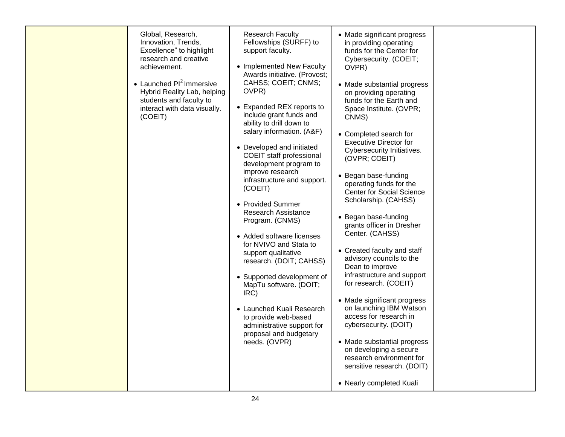| Global, Research,<br>Innovation, Trends,<br>Excellence" to highlight<br>research and creative<br>achievement.<br>• Launched $Pl^2$ Immersive<br>Hybrid Reality Lab, helping<br>students and faculty to<br>interact with data visually.<br>(COEIT) | <b>Research Faculty</b><br>Fellowships (SURFF) to<br>support faculty.<br>• Implemented New Faculty<br>Awards initiative. (Provost;<br>CAHSS; COEIT; CNMS;<br>OVPR)<br>• Expanded REX reports to<br>include grant funds and<br>ability to drill down to<br>salary information. (A&F)<br>• Developed and initiated<br>COEIT staff professional<br>development program to<br>improve research<br>infrastructure and support.<br>(COEIT)<br>• Provided Summer<br>Research Assistance<br>Program. (CNMS)<br>• Added software licenses<br>for NVIVO and Stata to<br>support qualitative<br>research. (DOIT; CAHSS)<br>• Supported development of<br>MapTu software. (DOIT;<br>IRC)<br>• Launched Kuali Research<br>to provide web-based<br>administrative support for<br>proposal and budgetary<br>needs. (OVPR) | • Made significant progress<br>in providing operating<br>funds for the Center for<br>Cybersecurity. (COEIT;<br>OVPR)<br>• Made substantial progress<br>on providing operating<br>funds for the Earth and<br>Space Institute. (OVPR;<br>CNMS)<br>• Completed search for<br><b>Executive Director for</b><br>Cybersecurity Initiatives.<br>(OVPR; COEIT)<br>• Began base-funding<br>operating funds for the<br><b>Center for Social Science</b><br>Scholarship. (CAHSS)<br>• Began base-funding<br>grants officer in Dresher<br>Center. (CAHSS)<br>• Created faculty and staff<br>advisory councils to the<br>Dean to improve<br>infrastructure and support<br>for research. (COEIT)<br>• Made significant progress<br>on launching IBM Watson<br>access for research in<br>cybersecurity. (DOIT)<br>• Made substantial progress<br>on developing a secure<br>research environment for<br>sensitive research. (DOIT)<br>• Nearly completed Kuali |  |
|---------------------------------------------------------------------------------------------------------------------------------------------------------------------------------------------------------------------------------------------------|------------------------------------------------------------------------------------------------------------------------------------------------------------------------------------------------------------------------------------------------------------------------------------------------------------------------------------------------------------------------------------------------------------------------------------------------------------------------------------------------------------------------------------------------------------------------------------------------------------------------------------------------------------------------------------------------------------------------------------------------------------------------------------------------------------|------------------------------------------------------------------------------------------------------------------------------------------------------------------------------------------------------------------------------------------------------------------------------------------------------------------------------------------------------------------------------------------------------------------------------------------------------------------------------------------------------------------------------------------------------------------------------------------------------------------------------------------------------------------------------------------------------------------------------------------------------------------------------------------------------------------------------------------------------------------------------------------------------------------------------------------------|--|
|---------------------------------------------------------------------------------------------------------------------------------------------------------------------------------------------------------------------------------------------------|------------------------------------------------------------------------------------------------------------------------------------------------------------------------------------------------------------------------------------------------------------------------------------------------------------------------------------------------------------------------------------------------------------------------------------------------------------------------------------------------------------------------------------------------------------------------------------------------------------------------------------------------------------------------------------------------------------------------------------------------------------------------------------------------------------|------------------------------------------------------------------------------------------------------------------------------------------------------------------------------------------------------------------------------------------------------------------------------------------------------------------------------------------------------------------------------------------------------------------------------------------------------------------------------------------------------------------------------------------------------------------------------------------------------------------------------------------------------------------------------------------------------------------------------------------------------------------------------------------------------------------------------------------------------------------------------------------------------------------------------------------------|--|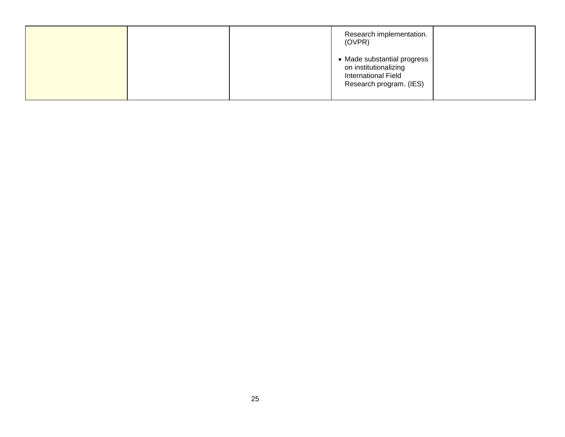|  | Research implementation.<br>(OVPR)                                                                            |  |
|--|---------------------------------------------------------------------------------------------------------------|--|
|  | • Made substantial progress<br>on institutionalizing<br><b>International Field</b><br>Research program. (IES) |  |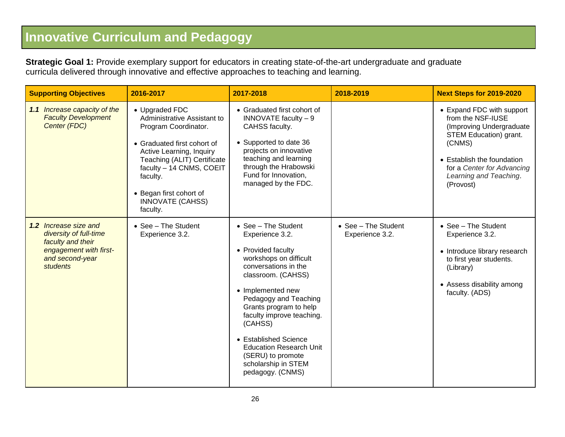## **Innovative Curriculum and Pedagogy**

**Strategic Goal 1:** Provide exemplary support for educators in creating state-of-the-art undergraduate and graduate curricula delivered through innovative and effective approaches to teaching and learning.

| <b>Supporting Objectives</b>                                                                                                         | 2016-2017                                                                                                                                                                                                                                                                 | 2017-2018                                                                                                                                                                                                                                                                                                                                                                       | 2018-2019                              | <b>Next Steps for 2019-2020</b>                                                                                                                                                                                   |
|--------------------------------------------------------------------------------------------------------------------------------------|---------------------------------------------------------------------------------------------------------------------------------------------------------------------------------------------------------------------------------------------------------------------------|---------------------------------------------------------------------------------------------------------------------------------------------------------------------------------------------------------------------------------------------------------------------------------------------------------------------------------------------------------------------------------|----------------------------------------|-------------------------------------------------------------------------------------------------------------------------------------------------------------------------------------------------------------------|
| 1.1 Increase capacity of the<br><b>Faculty Development</b><br>Center (FDC)                                                           | • Upgraded FDC<br>Administrative Assistant to<br>Program Coordinator.<br>• Graduated first cohort of<br>Active Learning, Inquiry<br>Teaching (ALIT) Certificate<br>faculty - 14 CNMS, COEIT<br>faculty.<br>• Began first cohort of<br><b>INNOVATE (CAHSS)</b><br>faculty. | • Graduated first cohort of<br>INNOVATE faculty - 9<br>CAHSS faculty.<br>• Supported to date 36<br>projects on innovative<br>teaching and learning<br>through the Hrabowski<br>Fund for Innovation,<br>managed by the FDC.                                                                                                                                                      |                                        | • Expand FDC with support<br>from the NSF-IUSE<br>(Improving Undergraduate<br>STEM Education) grant.<br>(CNMS)<br>• Establish the foundation<br>for a Center for Advancing<br>Learning and Teaching.<br>(Provost) |
| <b>1.2</b> Increase size and<br>diversity of full-time<br>faculty and their<br>engagement with first-<br>and second-year<br>students | • See - The Student<br>Experience 3.2.                                                                                                                                                                                                                                    | • See - The Student<br>Experience 3.2.<br>• Provided faculty<br>workshops on difficult<br>conversations in the<br>classroom. (CAHSS)<br>• Implemented new<br>Pedagogy and Teaching<br>Grants program to help<br>faculty improve teaching.<br>(CAHSS)<br>• Established Science<br><b>Education Research Unit</b><br>(SERU) to promote<br>scholarship in STEM<br>pedagogy. (CNMS) | • See - The Student<br>Experience 3.2. | $\bullet$ See - The Student<br>Experience 3.2.<br>• Introduce library research<br>to first year students.<br>(Library)<br>• Assess disability among<br>faculty. (ADS)                                             |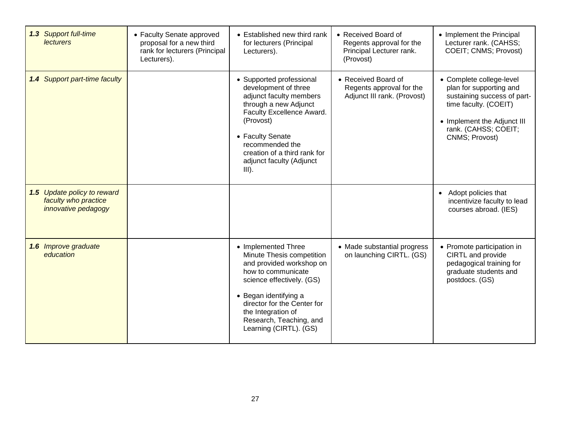| 1.3 Support full-time<br><b>lecturers</b>                                  | • Faculty Senate approved<br>proposal for a new third<br>rank for lecturers (Principal<br>Lecturers). | • Established new third rank<br>for lecturers (Principal<br>Lecturers).                                                                                                                                                                                            | • Received Board of<br>Regents approval for the<br>Principal Lecturer rank.<br>(Provost) | • Implement the Principal<br>Lecturer rank. (CAHSS;<br>COEIT; CNMS; Provost)                                                                                                         |
|----------------------------------------------------------------------------|-------------------------------------------------------------------------------------------------------|--------------------------------------------------------------------------------------------------------------------------------------------------------------------------------------------------------------------------------------------------------------------|------------------------------------------------------------------------------------------|--------------------------------------------------------------------------------------------------------------------------------------------------------------------------------------|
| <b>Support part-time faculty</b><br>1.4                                    |                                                                                                       | • Supported professional<br>development of three<br>adjunct faculty members<br>through a new Adjunct<br>Faculty Excellence Award.<br>(Provost)<br>• Faculty Senate<br>recommended the<br>creation of a third rank for<br>adjunct faculty (Adjunct<br>$III$ ).      | • Received Board of<br>Regents approval for the<br>Adjunct III rank. (Provost)           | • Complete college-level<br>plan for supporting and<br>sustaining success of part-<br>time faculty. (COEIT)<br>• Implement the Adjunct III<br>rank. (CAHSS; COEIT;<br>CNMS; Provost) |
| 1.5 Update policy to reward<br>faculty who practice<br>innovative pedagogy |                                                                                                       |                                                                                                                                                                                                                                                                    |                                                                                          | • Adopt policies that<br>incentivize faculty to lead<br>courses abroad. (IES)                                                                                                        |
| 1.6 Improve graduate<br>education                                          |                                                                                                       | • Implemented Three<br>Minute Thesis competition<br>and provided workshop on<br>how to communicate<br>science effectively. (GS)<br>• Began identifying a<br>director for the Center for<br>the Integration of<br>Research, Teaching, and<br>Learning (CIRTL). (GS) | • Made substantial progress<br>on launching CIRTL. (GS)                                  | • Promote participation in<br>CIRTL and provide<br>pedagogical training for<br>graduate students and<br>postdocs. (GS)                                                               |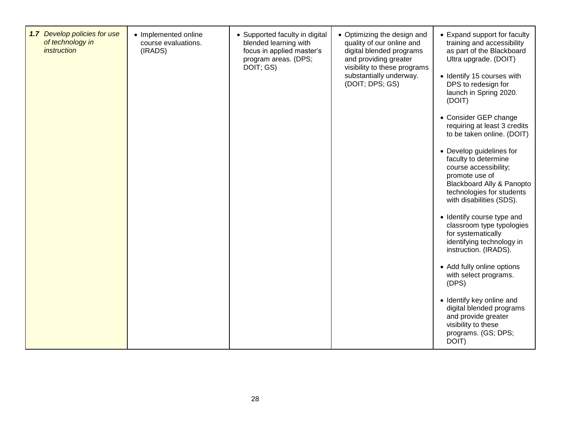| 1.7 Develop policies for use<br>of technology in<br><i>instruction</i> | • Implemented online<br>course evaluations.<br>(IRADS) | • Supported faculty in digital<br>blended learning with<br>focus in applied master's<br>program areas. (DPS;<br>DOIT; GS) | • Optimizing the design and<br>quality of our online and<br>digital blended programs<br>and providing greater<br>visibility to these programs<br>substantially underway.<br>(DOIT; DPS; GS) | • Expand support for faculty<br>training and accessibility<br>as part of the Blackboard<br>Ultra upgrade. (DOIT)<br>• Identify 15 courses with<br>DPS to redesign for<br>launch in Spring 2020.<br>(DOIT)<br>• Consider GEP change<br>requiring at least 3 credits<br>to be taken online. (DOIT)<br>• Develop guidelines for<br>faculty to determine<br>course accessibility;<br>promote use of<br>Blackboard Ally & Panopto<br>technologies for students<br>with disabilities (SDS).<br>• Identify course type and<br>classroom type typologies<br>for systematically<br>identifying technology in<br>instruction. (IRADS).<br>• Add fully online options<br>with select programs.<br>(DPS) |
|------------------------------------------------------------------------|--------------------------------------------------------|---------------------------------------------------------------------------------------------------------------------------|---------------------------------------------------------------------------------------------------------------------------------------------------------------------------------------------|----------------------------------------------------------------------------------------------------------------------------------------------------------------------------------------------------------------------------------------------------------------------------------------------------------------------------------------------------------------------------------------------------------------------------------------------------------------------------------------------------------------------------------------------------------------------------------------------------------------------------------------------------------------------------------------------|
|                                                                        |                                                        |                                                                                                                           |                                                                                                                                                                                             | • Identify key online and<br>digital blended programs<br>and provide greater<br>visibility to these<br>programs. (GS; DPS;<br>DOIT)                                                                                                                                                                                                                                                                                                                                                                                                                                                                                                                                                          |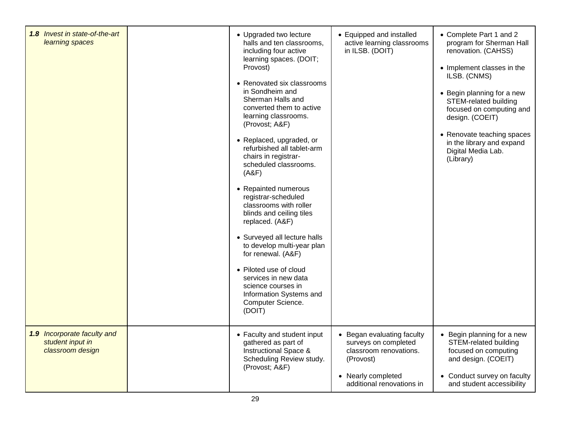| 1.8 Invest in state-of-the-art<br>learning spaces                   | • Upgraded two lecture<br>halls and ten classrooms,<br>including four active<br>learning spaces. (DOIT;<br>Provost)<br>• Renovated six classrooms<br>in Sondheim and<br>Sherman Halls and<br>converted them to active<br>learning classrooms.<br>(Provost; A&F)<br>• Replaced, upgraded, or<br>refurbished all tablet-arm<br>chairs in registrar-<br>scheduled classrooms.<br>(ABF)<br>• Repainted numerous<br>registrar-scheduled<br>classrooms with roller<br>blinds and ceiling tiles<br>replaced. (A&F)<br>• Surveyed all lecture halls<br>to develop multi-year plan<br>for renewal. (A&F)<br>• Piloted use of cloud<br>services in new data<br>science courses in<br>Information Systems and<br>Computer Science.<br>(DOIT) | • Equipped and installed<br>active learning classrooms<br>in ILSB. (DOIT)                                                                    | • Complete Part 1 and 2<br>program for Sherman Hall<br>renovation. (CAHSS)<br>• Implement classes in the<br>ILSB. (CNMS)<br>• Begin planning for a new<br>STEM-related building<br>focused on computing and<br>design. (COEIT)<br>• Renovate teaching spaces<br>in the library and expand<br>Digital Media Lab.<br>(Library) |
|---------------------------------------------------------------------|-----------------------------------------------------------------------------------------------------------------------------------------------------------------------------------------------------------------------------------------------------------------------------------------------------------------------------------------------------------------------------------------------------------------------------------------------------------------------------------------------------------------------------------------------------------------------------------------------------------------------------------------------------------------------------------------------------------------------------------|----------------------------------------------------------------------------------------------------------------------------------------------|------------------------------------------------------------------------------------------------------------------------------------------------------------------------------------------------------------------------------------------------------------------------------------------------------------------------------|
| 1.9 Incorporate faculty and<br>student input in<br>classroom design | • Faculty and student input<br>gathered as part of<br><b>Instructional Space &amp;</b><br>Scheduling Review study.<br>(Provost; A&F)                                                                                                                                                                                                                                                                                                                                                                                                                                                                                                                                                                                              | • Began evaluating faculty<br>surveys on completed<br>classroom renovations.<br>(Provost)<br>• Nearly completed<br>additional renovations in | • Begin planning for a new<br><b>STEM-related building</b><br>focused on computing<br>and design. (COEIT)<br>• Conduct survey on faculty<br>and student accessibility                                                                                                                                                        |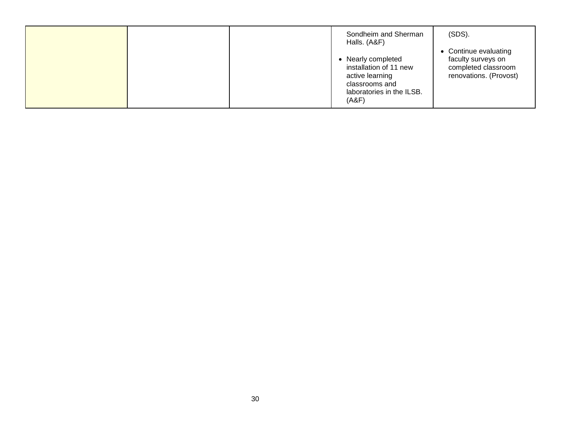|  | Sondheim and Sherman<br>Halls. (A&F)                                                                                    | $(SDS)$ .                                                                                    |
|--|-------------------------------------------------------------------------------------------------------------------------|----------------------------------------------------------------------------------------------|
|  | • Nearly completed<br>installation of 11 new<br>active learning<br>classrooms and<br>laboratories in the ILSB.<br>(A&F) | • Continue evaluating<br>faculty surveys on<br>completed classroom<br>renovations. (Provost) |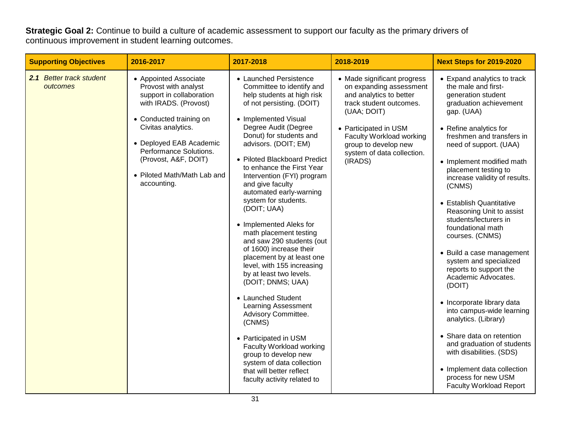**Strategic Goal 2:** Continue to build a culture of academic assessment to support our faculty as the primary drivers of continuous improvement in student learning outcomes.

| <b>Supporting Objectives</b>         | 2016-2017                                                                                                                                                                                                                                                                      | 2017-2018                                                                                                                                                                                                                                                                                                                                                                                                                                                                                                                                                                                                                                                                                                                                                                                                                                                                            | 2018-2019                                                                                                                                                                                                                                         | <b>Next Steps for 2019-2020</b>                                                                                                                                                                                                                                                                                                                                                                                                                                                                                                                                                                                                                                                                                                                                                                                |
|--------------------------------------|--------------------------------------------------------------------------------------------------------------------------------------------------------------------------------------------------------------------------------------------------------------------------------|--------------------------------------------------------------------------------------------------------------------------------------------------------------------------------------------------------------------------------------------------------------------------------------------------------------------------------------------------------------------------------------------------------------------------------------------------------------------------------------------------------------------------------------------------------------------------------------------------------------------------------------------------------------------------------------------------------------------------------------------------------------------------------------------------------------------------------------------------------------------------------------|---------------------------------------------------------------------------------------------------------------------------------------------------------------------------------------------------------------------------------------------------|----------------------------------------------------------------------------------------------------------------------------------------------------------------------------------------------------------------------------------------------------------------------------------------------------------------------------------------------------------------------------------------------------------------------------------------------------------------------------------------------------------------------------------------------------------------------------------------------------------------------------------------------------------------------------------------------------------------------------------------------------------------------------------------------------------------|
| 2.1 Better track student<br>outcomes | • Appointed Associate<br>Provost with analyst<br>support in collaboration<br>with IRADS. (Provost)<br>• Conducted training on<br>Civitas analytics.<br>• Deployed EAB Academic<br>Performance Solutions.<br>(Provost, A&F, DOIT)<br>• Piloted Math/Math Lab and<br>accounting. | • Launched Persistence<br>Committee to identify and<br>help students at high risk<br>of not persisting. (DOIT)<br>• Implemented Visual<br>Degree Audit (Degree<br>Donut) for students and<br>advisors. (DOIT; EM)<br>• Piloted Blackboard Predict<br>to enhance the First Year<br>Intervention (FYI) program<br>and give faculty<br>automated early-warning<br>system for students.<br>(DOIT; UAA)<br>• Implemented Aleks for<br>math placement testing<br>and saw 290 students (out<br>of 1600) increase their<br>placement by at least one<br>level, with 155 increasing<br>by at least two levels.<br>(DOIT; DNMS; UAA)<br>• Launched Student<br><b>Learning Assessment</b><br>Advisory Committee.<br>(CNMS)<br>• Participated in USM<br>Faculty Workload working<br>group to develop new<br>system of data collection<br>that will better reflect<br>faculty activity related to | • Made significant progress<br>on expanding assessment<br>and analytics to better<br>track student outcomes.<br>(UAA; DOIT)<br>• Participated in USM<br>Faculty Workload working<br>group to develop new<br>system of data collection.<br>(IRADS) | • Expand analytics to track<br>the male and first-<br>generation student<br>graduation achievement<br>gap. (UAA)<br>• Refine analytics for<br>freshmen and transfers in<br>need of support. (UAA)<br>• Implement modified math<br>placement testing to<br>increase validity of results.<br>(CNMS)<br>• Establish Quantitative<br>Reasoning Unit to assist<br>students/lecturers in<br>foundational math<br>courses. (CNMS)<br>• Build a case management<br>system and specialized<br>reports to support the<br>Academic Advocates.<br>(DOIT)<br>• Incorporate library data<br>into campus-wide learning<br>analytics. (Library)<br>• Share data on retention<br>and graduation of students<br>with disabilities. (SDS)<br>• Implement data collection<br>process for new USM<br><b>Faculty Workload Report</b> |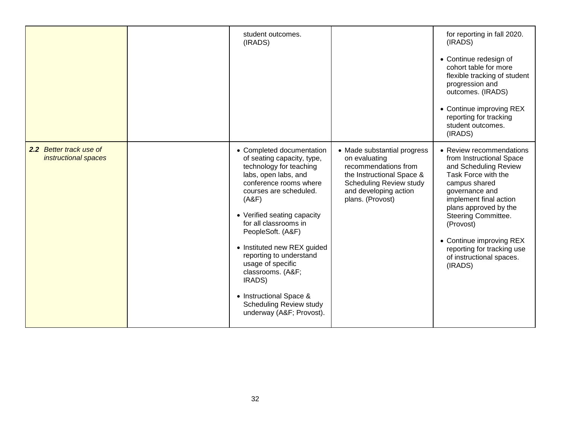|                                                 | student outcomes.<br>(IRADS)                                                                                                                                                                                                                                                                                                                                                                                                                       |                                                                                                                                                                                  | for reporting in fall 2020.<br>(IRADS)<br>• Continue redesign of<br>cohort table for more<br>flexible tracking of student<br>progression and<br>outcomes. (IRADS)<br>• Continue improving REX<br>reporting for tracking<br>student outcomes.<br>(IRADS)                                                                         |
|-------------------------------------------------|----------------------------------------------------------------------------------------------------------------------------------------------------------------------------------------------------------------------------------------------------------------------------------------------------------------------------------------------------------------------------------------------------------------------------------------------------|----------------------------------------------------------------------------------------------------------------------------------------------------------------------------------|---------------------------------------------------------------------------------------------------------------------------------------------------------------------------------------------------------------------------------------------------------------------------------------------------------------------------------|
| 2.2 Better track use of<br>instructional spaces | • Completed documentation<br>of seating capacity, type,<br>technology for teaching<br>labs, open labs, and<br>conference rooms where<br>courses are scheduled.<br>(ABF)<br>• Verified seating capacity<br>for all classrooms in<br>PeopleSoft. (A&F)<br>• Instituted new REX guided<br>reporting to understand<br>usage of specific<br>classrooms. (A&F<br>IRADS)<br>• Instructional Space &<br>Scheduling Review study<br>underway (A&F Provost). | • Made substantial progress<br>on evaluating<br>recommendations from<br>the Instructional Space &<br><b>Scheduling Review study</b><br>and developing action<br>plans. (Provost) | • Review recommendations<br>from Instructional Space<br>and Scheduling Review<br>Task Force with the<br>campus shared<br>governance and<br>implement final action<br>plans approved by the<br>Steering Committee.<br>(Provost)<br>• Continue improving REX<br>reporting for tracking use<br>of instructional spaces.<br>(IRADS) |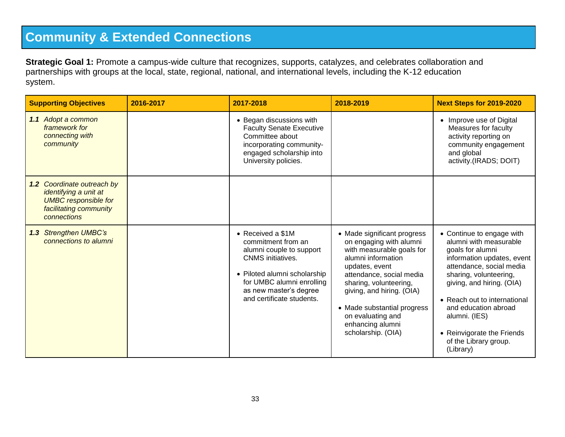### **Community & Extended Connections**

**Strategic Goal 1:** Promote a campus-wide culture that recognizes, supports, catalyzes, and celebrates collaboration and partnerships with groups at the local, state, regional, national, and international levels, including the K-12 education system.

| <b>Supporting Objectives</b>                                                                                                       | 2016-2017 | 2017-2018                                                                                                                                                                                                           | 2018-2019                                                                                                                                                                                                                                                                                                    | <b>Next Steps for 2019-2020</b>                                                                                                                                                                                                                                                                                                       |
|------------------------------------------------------------------------------------------------------------------------------------|-----------|---------------------------------------------------------------------------------------------------------------------------------------------------------------------------------------------------------------------|--------------------------------------------------------------------------------------------------------------------------------------------------------------------------------------------------------------------------------------------------------------------------------------------------------------|---------------------------------------------------------------------------------------------------------------------------------------------------------------------------------------------------------------------------------------------------------------------------------------------------------------------------------------|
| 1.1 Adopt a common<br>framework for<br>connecting with<br>community                                                                |           | • Began discussions with<br><b>Faculty Senate Executive</b><br>Committee about<br>incorporating community-<br>engaged scholarship into<br>University policies.                                                      |                                                                                                                                                                                                                                                                                                              | • Improve use of Digital<br>Measures for faculty<br>activity reporting on<br>community engagement<br>and global<br>activity.(IRADS; DOIT)                                                                                                                                                                                             |
| 1.2 Coordinate outreach by<br>identifying a unit at<br><b>UMBC</b> responsible for<br>facilitating community<br><b>connections</b> |           |                                                                                                                                                                                                                     |                                                                                                                                                                                                                                                                                                              |                                                                                                                                                                                                                                                                                                                                       |
| 1.3 Strengthen UMBC's<br>connections to alumni                                                                                     |           | • Received a \$1M<br>commitment from an<br>alumni couple to support<br><b>CNMS</b> initiatives.<br>• Piloted alumni scholarship<br>for UMBC alumni enrolling<br>as new master's degree<br>and certificate students. | • Made significant progress<br>on engaging with alumni<br>with measurable goals for<br>alumni information<br>updates, event<br>attendance, social media<br>sharing, volunteering,<br>giving, and hiring. (OIA)<br>• Made substantial progress<br>on evaluating and<br>enhancing alumni<br>scholarship. (OIA) | • Continue to engage with<br>alumni with measurable<br>goals for alumni<br>information updates, event<br>attendance, social media<br>sharing, volunteering,<br>giving, and hiring. (OIA)<br>• Reach out to international<br>and education abroad<br>alumni. (IES)<br>• Reinvigorate the Friends<br>of the Library group.<br>(Library) |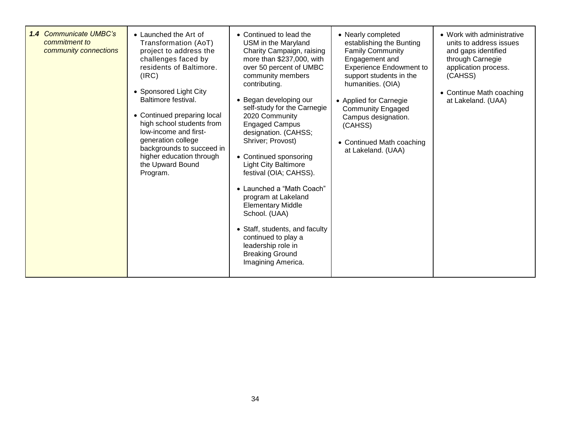| <b>1.4 Communicate UMBC's</b><br>commitment to<br>community connections | • Launched the Art of<br>Transformation (AoT)<br>project to address the<br>challenges faced by<br>residents of Baltimore.<br>(IRC)<br>• Sponsored Light City<br>Baltimore festival.<br>• Continued preparing local<br>high school students from<br>low-income and first-<br>generation college<br>backgrounds to succeed in<br>higher education through<br>the Upward Bound<br>Program. | • Continued to lead the<br>USM in the Maryland<br>Charity Campaign, raising<br>more than \$237,000, with<br>over 50 percent of UMBC<br>community members<br>contributing.<br>• Began developing our<br>self-study for the Carnegie<br>2020 Community<br><b>Engaged Campus</b><br>designation. (CAHSS;<br>Shriver; Provost)<br>• Continued sponsoring<br><b>Light City Baltimore</b><br>festival (OIA; CAHSS).<br>• Launched a "Math Coach"<br>program at Lakeland<br><b>Elementary Middle</b><br>School. (UAA)<br>• Staff, students, and faculty<br>continued to play a<br>leadership role in<br><b>Breaking Ground</b><br>Imagining America. | • Nearly completed<br>establishing the Bunting<br><b>Family Community</b><br>Engagement and<br><b>Experience Endowment to</b><br>support students in the<br>humanities. (OIA)<br>• Applied for Carnegie<br><b>Community Engaged</b><br>Campus designation.<br>(CAHSS)<br>• Continued Math coaching<br>at Lakeland. (UAA) | • Work with administrative<br>units to address issues<br>and gaps identified<br>through Carnegie<br>application process.<br>(CAHSS)<br>• Continue Math coaching<br>at Lakeland. (UAA) |
|-------------------------------------------------------------------------|-----------------------------------------------------------------------------------------------------------------------------------------------------------------------------------------------------------------------------------------------------------------------------------------------------------------------------------------------------------------------------------------|-----------------------------------------------------------------------------------------------------------------------------------------------------------------------------------------------------------------------------------------------------------------------------------------------------------------------------------------------------------------------------------------------------------------------------------------------------------------------------------------------------------------------------------------------------------------------------------------------------------------------------------------------|--------------------------------------------------------------------------------------------------------------------------------------------------------------------------------------------------------------------------------------------------------------------------------------------------------------------------|---------------------------------------------------------------------------------------------------------------------------------------------------------------------------------------|
|-------------------------------------------------------------------------|-----------------------------------------------------------------------------------------------------------------------------------------------------------------------------------------------------------------------------------------------------------------------------------------------------------------------------------------------------------------------------------------|-----------------------------------------------------------------------------------------------------------------------------------------------------------------------------------------------------------------------------------------------------------------------------------------------------------------------------------------------------------------------------------------------------------------------------------------------------------------------------------------------------------------------------------------------------------------------------------------------------------------------------------------------|--------------------------------------------------------------------------------------------------------------------------------------------------------------------------------------------------------------------------------------------------------------------------------------------------------------------------|---------------------------------------------------------------------------------------------------------------------------------------------------------------------------------------|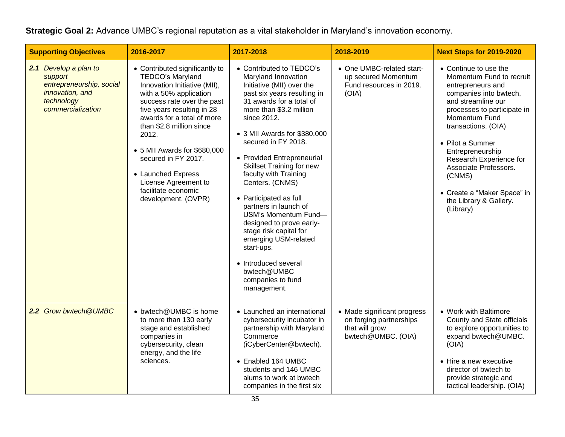#### **Strategic Goal 2:** Advance UMBC's regional reputation as a vital stakeholder in Maryland's innovation economy.

| <b>Supporting Objectives</b>                                                                                       | 2016-2017                                                                                                                                                                                                                                                                                                                                                                                      | 2017-2018                                                                                                                                                                                                                                                                                                                                                                                                                                                                                                                                                                                                | 2018-2019                                                                                      | <b>Next Steps for 2019-2020</b>                                                                                                                                                                                                                                                                                                                                           |
|--------------------------------------------------------------------------------------------------------------------|------------------------------------------------------------------------------------------------------------------------------------------------------------------------------------------------------------------------------------------------------------------------------------------------------------------------------------------------------------------------------------------------|----------------------------------------------------------------------------------------------------------------------------------------------------------------------------------------------------------------------------------------------------------------------------------------------------------------------------------------------------------------------------------------------------------------------------------------------------------------------------------------------------------------------------------------------------------------------------------------------------------|------------------------------------------------------------------------------------------------|---------------------------------------------------------------------------------------------------------------------------------------------------------------------------------------------------------------------------------------------------------------------------------------------------------------------------------------------------------------------------|
| 2.1 Develop a plan to<br>support<br>entrepreneurship, social<br>innovation, and<br>technology<br>commercialization | • Contributed significantly to<br>TEDCO's Maryland<br>Innovation Initiative (MII),<br>with a 50% application<br>success rate over the past<br>five years resulting in 28<br>awards for a total of more<br>than \$2.8 million since<br>2012.<br>• 5 MII Awards for \$680,000<br>secured in FY 2017.<br>• Launched Express<br>License Agreement to<br>facilitate economic<br>development. (OVPR) | • Contributed to TEDCO's<br>Maryland Innovation<br>Initiative (MII) over the<br>past six years resulting in<br>31 awards for a total of<br>more than \$3.2 million<br>since 2012.<br>• 3 MII Awards for \$380,000<br>secured in FY 2018.<br>• Provided Entrepreneurial<br><b>Skillset Training for new</b><br>faculty with Training<br>Centers. (CNMS)<br>• Participated as full<br>partners in launch of<br>USM's Momentum Fund-<br>designed to prove early-<br>stage risk capital for<br>emerging USM-related<br>start-ups.<br>• Introduced several<br>bwtech@UMBC<br>companies to fund<br>management. | • One UMBC-related start-<br>up secured Momentum<br>Fund resources in 2019.<br>(OIA)           | • Continue to use the<br>Momentum Fund to recruit<br>entrepreneurs and<br>companies into bwtech,<br>and streamline our<br>processes to participate in<br>Momentum Fund<br>transactions. (OIA)<br>• Pilot a Summer<br>Entrepreneurship<br>Research Experience for<br>Associate Professors.<br>(CNMS)<br>• Create a "Maker Space" in<br>the Library & Gallery.<br>(Library) |
| 2.2 Grow bwtech @UMBC                                                                                              | • bwtech@UMBC is home<br>to more than 130 early<br>stage and established<br>companies in<br>cybersecurity, clean<br>energy, and the life<br>sciences.                                                                                                                                                                                                                                          | • Launched an international<br>cybersecurity incubator in<br>partnership with Maryland<br>Commerce<br>(iCyberCenter@bwtech).<br>• Enabled 164 UMBC<br>students and 146 UMBC<br>alums to work at bwtech<br>companies in the first six                                                                                                                                                                                                                                                                                                                                                                     | • Made significant progress<br>on forging partnerships<br>that will grow<br>bwtech@UMBC. (OIA) | • Work with Baltimore<br>County and State officials<br>to explore opportunities to<br>expand bwtech@UMBC.<br>(OIA)<br>• Hire a new executive<br>director of bwtech to<br>provide strategic and<br>tactical leadership. (OIA)                                                                                                                                              |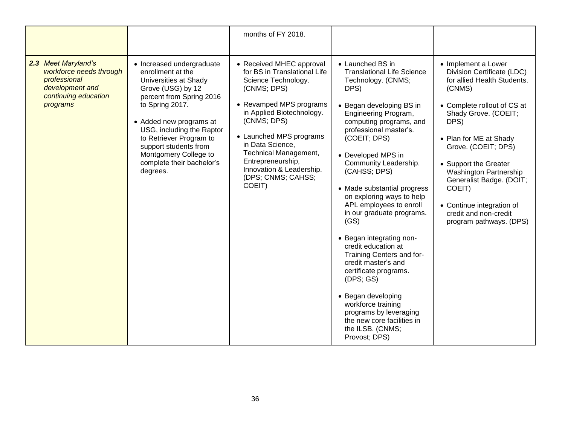|                                                                                                                       |                                                                                                                                                                                                                                                                                                                           | months of FY 2018.                                                                                                                                                                                                                                                                                                             |                                                                                                                                                                                                                                                                                                                                                                                                                                                                                                                                                                                                                                                                                               |                                                                                                                                                                                                                                                                                                                                                                                      |
|-----------------------------------------------------------------------------------------------------------------------|---------------------------------------------------------------------------------------------------------------------------------------------------------------------------------------------------------------------------------------------------------------------------------------------------------------------------|--------------------------------------------------------------------------------------------------------------------------------------------------------------------------------------------------------------------------------------------------------------------------------------------------------------------------------|-----------------------------------------------------------------------------------------------------------------------------------------------------------------------------------------------------------------------------------------------------------------------------------------------------------------------------------------------------------------------------------------------------------------------------------------------------------------------------------------------------------------------------------------------------------------------------------------------------------------------------------------------------------------------------------------------|--------------------------------------------------------------------------------------------------------------------------------------------------------------------------------------------------------------------------------------------------------------------------------------------------------------------------------------------------------------------------------------|
| 2.3 Meet Maryland's<br>workforce needs through<br>professional<br>development and<br>continuing education<br>programs | • Increased undergraduate<br>enrollment at the<br>Universities at Shady<br>Grove (USG) by 12<br>percent from Spring 2016<br>to Spring 2017.<br>• Added new programs at<br>USG, including the Raptor<br>to Retriever Program to<br>support students from<br>Montgomery College to<br>complete their bachelor's<br>degrees. | • Received MHEC approval<br>for BS in Translational Life<br>Science Technology.<br>(CNMS; DPS)<br>• Revamped MPS programs<br>in Applied Biotechnology.<br>(CNMS; DPS)<br>• Launched MPS programs<br>in Data Science,<br>Technical Management,<br>Entrepreneurship,<br>Innovation & Leadership.<br>(DPS; CNMS; CAHSS;<br>COEIT) | • Launched BS in<br><b>Translational Life Science</b><br>Technology. (CNMS;<br>DPS)<br>• Began developing BS in<br>Engineering Program,<br>computing programs, and<br>professional master's.<br>(COEIT; DPS)<br>• Developed MPS in<br>Community Leadership.<br>(CAHSS; DPS)<br>• Made substantial progress<br>on exploring ways to help<br>APL employees to enroll<br>in our graduate programs.<br>(GS)<br>• Began integrating non-<br>credit education at<br>Training Centers and for-<br>credit master's and<br>certificate programs.<br>(DFS; GS)<br>• Began developing<br>workforce training<br>programs by leveraging<br>the new core facilities in<br>the ILSB. (CNMS;<br>Provost; DPS) | • Implement a Lower<br>Division Certificate (LDC)<br>for allied Health Students.<br>(CNMS)<br>• Complete rollout of CS at<br>Shady Grove. (COEIT;<br>DPS)<br>• Plan for ME at Shady<br>Grove. (COEIT; DPS)<br>• Support the Greater<br>Washington Partnership<br>Generalist Badge. (DOIT;<br>COEIT)<br>• Continue integration of<br>credit and non-credit<br>program pathways. (DPS) |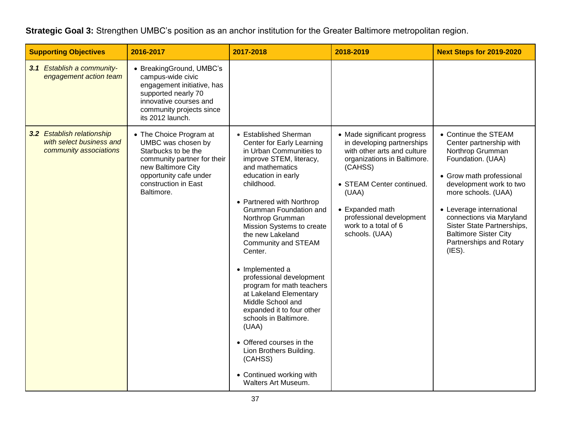**Strategic Goal 3:** Strengthen UMBC's position as an anchor institution for the Greater Baltimore metropolitan region.

| <b>Supporting Objectives</b>                                                     | 2016-2017                                                                                                                                                                                 | 2017-2018                                                                                                                                                                                                                                                                                                                                                                                                                                                                                                                                                                                                                                    | 2018-2019                                                                                                                                                                                                                                                         | Next Steps for 2019-2020                                                                                                                                                                                                                                                                                                          |
|----------------------------------------------------------------------------------|-------------------------------------------------------------------------------------------------------------------------------------------------------------------------------------------|----------------------------------------------------------------------------------------------------------------------------------------------------------------------------------------------------------------------------------------------------------------------------------------------------------------------------------------------------------------------------------------------------------------------------------------------------------------------------------------------------------------------------------------------------------------------------------------------------------------------------------------------|-------------------------------------------------------------------------------------------------------------------------------------------------------------------------------------------------------------------------------------------------------------------|-----------------------------------------------------------------------------------------------------------------------------------------------------------------------------------------------------------------------------------------------------------------------------------------------------------------------------------|
| 3.1 Establish a community-<br>engagement action team                             | • BreakingGround, UMBC's<br>campus-wide civic<br>engagement initiative, has<br>supported nearly 70<br>innovative courses and<br>community projects since<br>its 2012 launch.              |                                                                                                                                                                                                                                                                                                                                                                                                                                                                                                                                                                                                                                              |                                                                                                                                                                                                                                                                   |                                                                                                                                                                                                                                                                                                                                   |
| 3.2 Establish relationship<br>with select business and<br>community associations | • The Choice Program at<br>UMBC was chosen by<br>Starbucks to be the<br>community partner for their<br>new Baltimore City<br>opportunity cafe under<br>construction in East<br>Baltimore. | • Established Sherman<br>Center for Early Learning<br>in Urban Communities to<br>improve STEM, literacy,<br>and mathematics<br>education in early<br>childhood.<br>• Partnered with Northrop<br>Grumman Foundation and<br>Northrop Grumman<br>Mission Systems to create<br>the new Lakeland<br>Community and STEAM<br>Center.<br>• Implemented a<br>professional development<br>program for math teachers<br>at Lakeland Elementary<br>Middle School and<br>expanded it to four other<br>schools in Baltimore.<br>(UAA)<br>• Offered courses in the<br>Lion Brothers Building.<br>(CAHSS)<br>• Continued working with<br>Walters Art Museum. | • Made significant progress<br>in developing partnerships<br>with other arts and culture<br>organizations in Baltimore.<br>(CAHSS)<br>• STEAM Center continued.<br>(UAA)<br>• Expanded math<br>professional development<br>work to a total of 6<br>schools. (UAA) | • Continue the STEAM<br>Center partnership with<br>Northrop Grumman<br>Foundation. (UAA)<br>• Grow math professional<br>development work to two<br>more schools. (UAA)<br>• Leverage international<br>connections via Maryland<br>Sister State Partnerships,<br><b>Baltimore Sister City</b><br>Partnerships and Rotary<br>(IES). |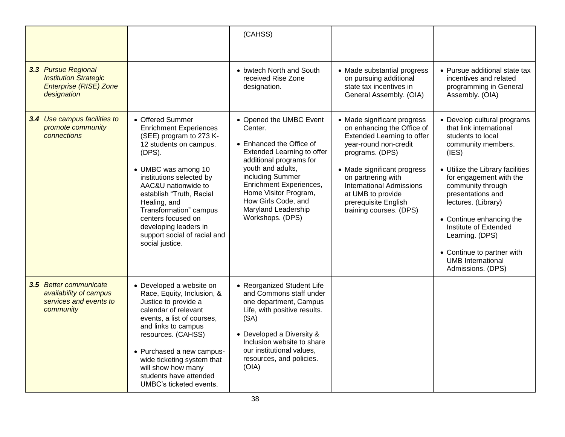|                                                                                                     |                                                                                                                                                                                                                                                                                                                                                                    | (CAHSS)                                                                                                                                                                                                                                                                                |                                                                                                                                                                                                                                                                                                     |                                                                                                                                                                                                                                                                                                                                                                                                   |
|-----------------------------------------------------------------------------------------------------|--------------------------------------------------------------------------------------------------------------------------------------------------------------------------------------------------------------------------------------------------------------------------------------------------------------------------------------------------------------------|----------------------------------------------------------------------------------------------------------------------------------------------------------------------------------------------------------------------------------------------------------------------------------------|-----------------------------------------------------------------------------------------------------------------------------------------------------------------------------------------------------------------------------------------------------------------------------------------------------|---------------------------------------------------------------------------------------------------------------------------------------------------------------------------------------------------------------------------------------------------------------------------------------------------------------------------------------------------------------------------------------------------|
| 3.3 Pursue Regional<br><b>Institution Strategic</b><br><b>Enterprise (RISE) Zone</b><br>designation |                                                                                                                                                                                                                                                                                                                                                                    | • bwtech North and South<br>received Rise Zone<br>designation.                                                                                                                                                                                                                         | • Made substantial progress<br>on pursuing additional<br>state tax incentives in<br>General Assembly. (OIA)                                                                                                                                                                                         | • Pursue additional state tax<br>incentives and related<br>programming in General<br>Assembly. (OIA)                                                                                                                                                                                                                                                                                              |
| 3.4 Use campus facilities to<br>promote community<br>connections                                    | • Offered Summer<br><b>Enrichment Experiences</b><br>(SEE) program to 273 K-<br>12 students on campus.<br>(DFS).<br>• UMBC was among 10<br>institutions selected by<br>AAC&U nationwide to<br>establish "Truth, Racial<br>Healing, and<br>Transformation" campus<br>centers focused on<br>developing leaders in<br>support social of racial and<br>social justice. | • Opened the UMBC Event<br>Center.<br>• Enhanced the Office of<br>Extended Learning to offer<br>additional programs for<br>youth and adults,<br>including Summer<br>Enrichment Experiences,<br>Home Visitor Program,<br>How Girls Code, and<br>Maryland Leadership<br>Workshops. (DPS) | • Made significant progress<br>on enhancing the Office of<br>Extended Learning to offer<br>year-round non-credit<br>programs. (DPS)<br>• Made significant progress<br>on partnering with<br><b>International Admissions</b><br>at UMB to provide<br>prerequisite English<br>training courses. (DPS) | • Develop cultural programs<br>that link international<br>students to local<br>community members.<br>(IES)<br>• Utilize the Library facilities<br>for engagement with the<br>community through<br>presentations and<br>lectures. (Library)<br>• Continue enhancing the<br>Institute of Extended<br>Learning. (DPS)<br>• Continue to partner with<br><b>UMB</b> International<br>Admissions. (DPS) |
| 3.5 Better communicate<br>availability of campus<br>services and events to<br>community             | • Developed a website on<br>Race, Equity, Inclusion, &<br>Justice to provide a<br>calendar of relevant<br>events, a list of courses,<br>and links to campus<br>resources. (CAHSS)<br>• Purchased a new campus-<br>wide ticketing system that<br>will show how many<br>students have attended<br>UMBC's ticketed events.                                            | • Reorganized Student Life<br>and Commons staff under<br>one department, Campus<br>Life, with positive results.<br>(SA)<br>• Developed a Diversity &<br>Inclusion website to share<br>our institutional values.<br>resources, and policies.<br>(OIA)                                   |                                                                                                                                                                                                                                                                                                     |                                                                                                                                                                                                                                                                                                                                                                                                   |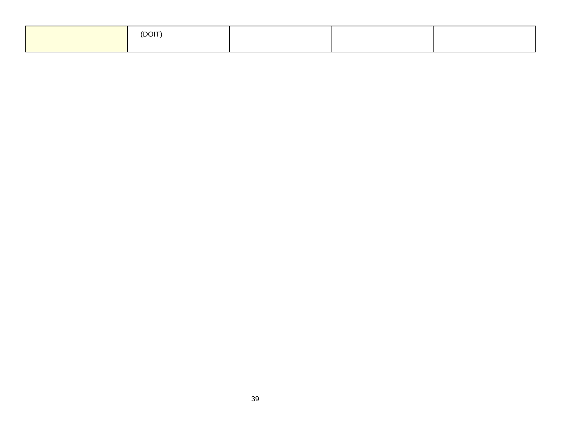| (DOIT) |  |  |
|--------|--|--|
|        |  |  |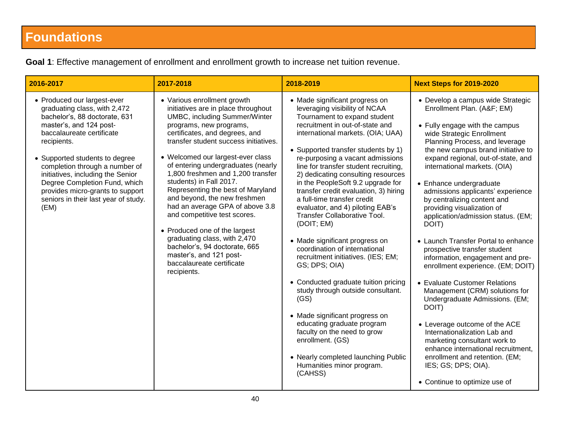# **Foundations**

| 2016-2017                                                                                                                                                                                                                                                                                                                                                                                         | 2017-2018                                                                                                                                                                                                                                                                                                                                                                                                                                                                                                                                                                                                                                                                    | 2018-2019                                                                                                                                                                                                                                                                                                                                                                                                                                                                                                                                                                                                                                                                                                                                                                                                                                                                                                                                                | <b>Next Steps for 2019-2020</b>                                                                                                                                                                                                                                                                                                                                                                                                                                                                                                                                                                                                                                                                                                                                                                                                                                                                                                                        |
|---------------------------------------------------------------------------------------------------------------------------------------------------------------------------------------------------------------------------------------------------------------------------------------------------------------------------------------------------------------------------------------------------|------------------------------------------------------------------------------------------------------------------------------------------------------------------------------------------------------------------------------------------------------------------------------------------------------------------------------------------------------------------------------------------------------------------------------------------------------------------------------------------------------------------------------------------------------------------------------------------------------------------------------------------------------------------------------|----------------------------------------------------------------------------------------------------------------------------------------------------------------------------------------------------------------------------------------------------------------------------------------------------------------------------------------------------------------------------------------------------------------------------------------------------------------------------------------------------------------------------------------------------------------------------------------------------------------------------------------------------------------------------------------------------------------------------------------------------------------------------------------------------------------------------------------------------------------------------------------------------------------------------------------------------------|--------------------------------------------------------------------------------------------------------------------------------------------------------------------------------------------------------------------------------------------------------------------------------------------------------------------------------------------------------------------------------------------------------------------------------------------------------------------------------------------------------------------------------------------------------------------------------------------------------------------------------------------------------------------------------------------------------------------------------------------------------------------------------------------------------------------------------------------------------------------------------------------------------------------------------------------------------|
| • Produced our largest-ever<br>graduating class, with 2,472<br>bachelor's, 88 doctorate, 631<br>master's, and 124 post-<br>baccalaureate certificate<br>recipients.<br>• Supported students to degree<br>completion through a number of<br>initiatives, including the Senior<br>Degree Completion Fund, which<br>provides micro-grants to support<br>seniors in their last year of study.<br>(EM) | • Various enrollment growth<br>initiatives are in place throughout<br><b>UMBC, including Summer/Winter</b><br>programs, new programs,<br>certificates, and degrees, and<br>transfer student success initiatives.<br>• Welcomed our largest-ever class<br>of entering undergraduates (nearly<br>1,800 freshmen and 1,200 transfer<br>students) in Fall 2017.<br>Representing the best of Maryland<br>and beyond, the new freshmen<br>had an average GPA of above 3.8<br>and competitive test scores.<br>• Produced one of the largest<br>graduating class, with 2,470<br>bachelor's, 94 doctorate, 665<br>master's, and 121 post-<br>baccalaureate certificate<br>recipients. | • Made significant progress on<br>leveraging visibility of NCAA<br>Tournament to expand student<br>recruitment in out-of-state and<br>international markets. (OIA; UAA)<br>• Supported transfer students by 1)<br>re-purposing a vacant admissions<br>line for transfer student recruiting,<br>2) dedicating consulting resources<br>in the PeopleSoft 9.2 upgrade for<br>transfer credit evaluation, 3) hiring<br>a full-time transfer credit<br>evaluator, and 4) piloting EAB's<br><b>Transfer Collaborative Tool.</b><br>(DOIT; EM)<br>• Made significant progress on<br>coordination of international<br>recruitment initiatives. (IES; EM;<br>GS; DPS; OIA)<br>• Conducted graduate tuition pricing<br>study through outside consultant.<br>(GS)<br>• Made significant progress on<br>educating graduate program<br>faculty on the need to grow<br>enrollment. (GS)<br>• Nearly completed launching Public<br>Humanities minor program.<br>(CAHSS) | • Develop a campus wide Strategic<br>Enrollment Plan. (A&F EM)<br>• Fully engage with the campus<br>wide Strategic Enrollment<br>Planning Process, and leverage<br>the new campus brand initiative to<br>expand regional, out-of-state, and<br>international markets. (OIA)<br>• Enhance undergraduate<br>admissions applicants' experience<br>by centralizing content and<br>providing visualization of<br>application/admission status. (EM;<br>DOIT)<br>• Launch Transfer Portal to enhance<br>prospective transfer student<br>information, engagement and pre-<br>enrollment experience. (EM; DOIT)<br>• Evaluate Customer Relations<br>Management (CRM) solutions for<br>Undergraduate Admissions. (EM;<br>DOIT)<br>• Leverage outcome of the ACE<br>Internationalization Lab and<br>marketing consultant work to<br>enhance international recruitment,<br>enrollment and retention. (EM;<br>IES; GS; DPS; OIA).<br>• Continue to optimize use of |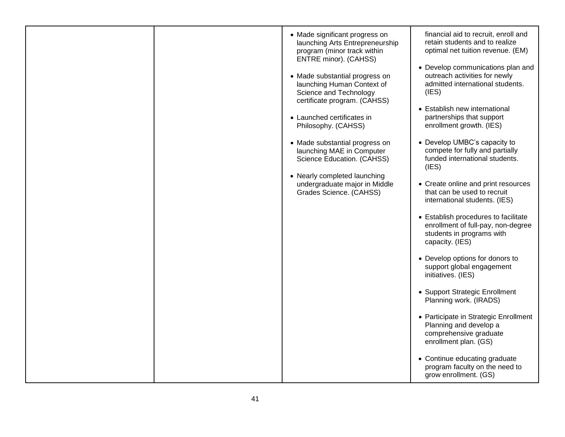|  | • Made significant progress on<br>launching Arts Entrepreneurship<br>program (minor track within<br>ENTRE minor). (CAHSS)<br>• Made substantial progress on<br>launching Human Context of<br>Science and Technology<br>certificate program. (CAHSS)<br>• Launched certificates in<br>Philosophy. (CAHSS)<br>• Made substantial progress on<br>launching MAE in Computer<br>Science Education. (CAHSS)<br>• Nearly completed launching<br>undergraduate major in Middle<br>Grades Science. (CAHSS) | financial aid to recruit, enroll and<br>retain students and to realize<br>optimal net tuition revenue. (EM)<br>• Develop communications plan and<br>outreach activities for newly<br>admitted international students.<br>(IES)<br>• Establish new international<br>partnerships that support<br>enrollment growth. (IES)<br>• Develop UMBC's capacity to<br>compete for fully and partially<br>funded international students.<br>(IES)<br>• Create online and print resources<br>that can be used to recruit<br>international students. (IES)<br>• Establish procedures to facilitate<br>enrollment of full-pay, non-degree<br>students in programs with<br>capacity. (IES)<br>• Develop options for donors to<br>support global engagement |
|--|---------------------------------------------------------------------------------------------------------------------------------------------------------------------------------------------------------------------------------------------------------------------------------------------------------------------------------------------------------------------------------------------------------------------------------------------------------------------------------------------------|---------------------------------------------------------------------------------------------------------------------------------------------------------------------------------------------------------------------------------------------------------------------------------------------------------------------------------------------------------------------------------------------------------------------------------------------------------------------------------------------------------------------------------------------------------------------------------------------------------------------------------------------------------------------------------------------------------------------------------------------|
|  |                                                                                                                                                                                                                                                                                                                                                                                                                                                                                                   | initiatives. (IES)                                                                                                                                                                                                                                                                                                                                                                                                                                                                                                                                                                                                                                                                                                                          |
|  |                                                                                                                                                                                                                                                                                                                                                                                                                                                                                                   | • Support Strategic Enrollment<br>Planning work. (IRADS)                                                                                                                                                                                                                                                                                                                                                                                                                                                                                                                                                                                                                                                                                    |
|  |                                                                                                                                                                                                                                                                                                                                                                                                                                                                                                   | • Participate in Strategic Enrollment<br>Planning and develop a<br>comprehensive graduate<br>enrollment plan. (GS)                                                                                                                                                                                                                                                                                                                                                                                                                                                                                                                                                                                                                          |
|  |                                                                                                                                                                                                                                                                                                                                                                                                                                                                                                   | • Continue educating graduate<br>program faculty on the need to<br>grow enrollment. (GS)                                                                                                                                                                                                                                                                                                                                                                                                                                                                                                                                                                                                                                                    |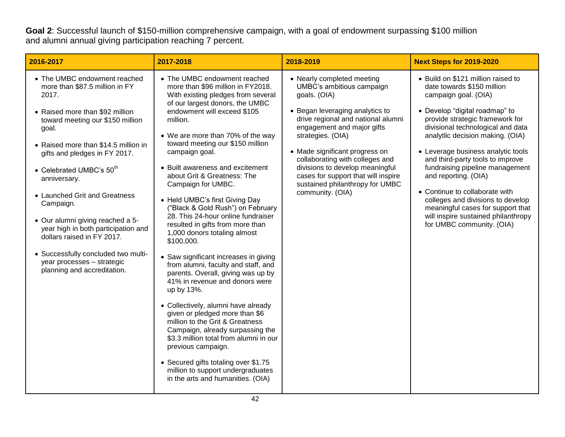**Goal 2**: Successful launch of \$150-million comprehensive campaign, with a goal of endowment surpassing \$100 million and alumni annual giving participation reaching 7 percent.

| 2016-2017                                                                                                                                                                                                                                                                                                                                                                                                                                                                                                                                 | 2017-2018                                                                                                                                                                                                                                                                                                                                                                                                                                                                                                                                                                                                                                                                                                                                                                                                                                                                                                                                                                                                                                                                       | 2018-2019                                                                                                                                                                                                                                                                                                                                                                                                 | <b>Next Steps for 2019-2020</b>                                                                                                                                                                                                                                                                                                                                                                                                                                                                                                                             |
|-------------------------------------------------------------------------------------------------------------------------------------------------------------------------------------------------------------------------------------------------------------------------------------------------------------------------------------------------------------------------------------------------------------------------------------------------------------------------------------------------------------------------------------------|---------------------------------------------------------------------------------------------------------------------------------------------------------------------------------------------------------------------------------------------------------------------------------------------------------------------------------------------------------------------------------------------------------------------------------------------------------------------------------------------------------------------------------------------------------------------------------------------------------------------------------------------------------------------------------------------------------------------------------------------------------------------------------------------------------------------------------------------------------------------------------------------------------------------------------------------------------------------------------------------------------------------------------------------------------------------------------|-----------------------------------------------------------------------------------------------------------------------------------------------------------------------------------------------------------------------------------------------------------------------------------------------------------------------------------------------------------------------------------------------------------|-------------------------------------------------------------------------------------------------------------------------------------------------------------------------------------------------------------------------------------------------------------------------------------------------------------------------------------------------------------------------------------------------------------------------------------------------------------------------------------------------------------------------------------------------------------|
| • The UMBC endowment reached<br>more than \$87.5 million in FY<br>2017.<br>• Raised more than \$92 million<br>toward meeting our \$150 million<br>goal.<br>• Raised more than \$14.5 million in<br>gifts and pledges in FY 2017.<br>• Celebrated UMBC's $50th$<br>anniversary.<br>• Launched Grit and Greatness<br>Campaign.<br>• Our alumni giving reached a 5-<br>year high in both participation and<br>dollars raised in FY 2017.<br>• Successfully concluded two multi-<br>year processes - strategic<br>planning and accreditation. | • The UMBC endowment reached<br>more than \$96 million in FY2018.<br>With existing pledges from several<br>of our largest donors, the UMBC<br>endowment will exceed \$105<br>million.<br>• We are more than 70% of the way<br>toward meeting our \$150 million<br>campaign goal.<br>• Built awareness and excitement<br>about Grit & Greatness: The<br>Campaign for UMBC.<br>• Held UMBC's first Giving Day<br>"Black & Gold Rush") on February<br>28. This 24-hour online fundraiser<br>resulted in gifts from more than<br>1,000 donors totaling almost<br>\$100,000.<br>• Saw significant increases in giving<br>from alumni, faculty and staff, and<br>parents. Overall, giving was up by<br>41% in revenue and donors were<br>up by 13%.<br>• Collectively, alumni have already<br>given or pledged more than \$6<br>million to the Grit & Greatness<br>Campaign, already surpassing the<br>\$3.3 million total from alumni in our<br>previous campaign.<br>• Secured gifts totaling over \$1.75<br>million to support undergraduates<br>in the arts and humanities. (OIA) | • Nearly completed meeting<br>UMBC's ambitious campaign<br>goals. (OIA)<br>• Began leveraging analytics to<br>drive regional and national alumni<br>engagement and major gifts<br>strategies. (OIA)<br>• Made significant progress on<br>collaborating with colleges and<br>divisions to develop meaningful<br>cases for support that will inspire<br>sustained philanthropy for UMBC<br>community. (OIA) | • Build on \$121 million raised to<br>date towards \$150 million<br>campaign goal. (OIA)<br>• Develop "digital roadmap" to<br>provide strategic framework for<br>divisional technological and data<br>analytlic decision making. (OIA)<br>• Leverage business analytic tools<br>and third-party tools to improve<br>fundraising pipeline management<br>and reporting. (OIA)<br>• Continue to collaborate with<br>colleges and divisions to develop<br>meaningful cases for support that<br>will inspire sustained philanthropy<br>for UMBC community. (OIA) |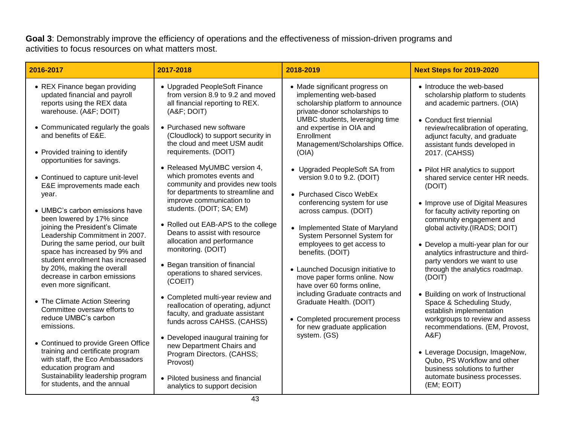**Goal 3**: Demonstrably improve the efficiency of operations and the effectiveness of mission-driven programs and activities to focus resources on what matters most.

| 2016-2017                                                                                                                            | 2017-2018                                                                                                                                 | 2018-2019                                                                                                                                                       | <b>Next Steps for 2019-2020</b>                                                                                                              |
|--------------------------------------------------------------------------------------------------------------------------------------|-------------------------------------------------------------------------------------------------------------------------------------------|-----------------------------------------------------------------------------------------------------------------------------------------------------------------|----------------------------------------------------------------------------------------------------------------------------------------------|
| • REX Finance began providing<br>updated financial and payroll<br>reports using the REX data<br>warehouse. (A&F DOIT)                | • Upgraded PeopleSoft Finance<br>from version 8.9 to 9.2 and moved<br>all financial reporting to REX.<br>(A&F DOIT)                       | • Made significant progress on<br>implementing web-based<br>scholarship platform to announce<br>private-donor scholarships to<br>UMBC students, leveraging time | • Introduce the web-based<br>scholarship platform to students<br>and academic partners. (OIA)<br>• Conduct first triennial                   |
| • Communicated regularly the goals<br>and benefits of E&E.<br>• Provided training to identify<br>opportunities for savings.          | • Purchased new software<br>(Cloudlock) to support security in<br>the cloud and meet USM audit<br>requirements. (DOIT)                    | and expertise in OIA and<br>Enrollment<br>Management/Scholarships Office.<br>(OIA)                                                                              | review/recalibration of operating,<br>adjunct faculty, and graduate<br>assistant funds developed in<br>2017. (CAHSS)                         |
| • Continued to capture unit-level<br>E&E improvements made each<br>year.                                                             | • Released MyUMBC version 4,<br>which promotes events and<br>community and provides new tools<br>for departments to streamline and        | • Upgraded PeopleSoft SA from<br>version 9.0 to 9.2. (DOIT)<br>• Purchased Cisco WebEx                                                                          | • Pilot HR analytics to support<br>shared service center HR needs.<br>(DOIT)                                                                 |
| • UMBC's carbon emissions have<br>been lowered by 17% since<br>joining the President's Climate<br>Leadership Commitment in 2007.     | improve communication to<br>students. (DOIT; SA; EM)<br>• Rolled out EAB-APS to the college<br>Deans to assist with resource              | conferencing system for use<br>across campus. (DOIT)<br>• Implemented State of Maryland<br>System Personnel System for                                          | • Improve use of Digital Measures<br>for faculty activity reporting on<br>community engagement and<br>global activity.(IRADS; DOIT)          |
| During the same period, our built<br>space has increased by 9% and<br>student enrollment has increased<br>by 20%, making the overall | allocation and performance<br>monitoring. (DOIT)<br>• Began transition of financial                                                       | employees to get access to<br>benefits. (DOIT)<br>• Launched Docusign initiative to                                                                             | • Develop a multi-year plan for our<br>analytics infrastructure and third-<br>party vendors we want to use<br>through the analytics roadmap. |
| decrease in carbon emissions<br>even more significant.                                                                               | operations to shared services.<br>(COEIT)                                                                                                 | move paper forms online. Now<br>have over 60 forms online,                                                                                                      | (DOIT)                                                                                                                                       |
| • The Climate Action Steering<br>Committee oversaw efforts to<br>reduce UMBC's carbon<br>emissions.                                  | • Completed multi-year review and<br>reallocation of operating, adjunct<br>faculty, and graduate assistant<br>funds across CAHSS. (CAHSS) | including Graduate contracts and<br>Graduate Health. (DOIT)<br>• Completed procurement process                                                                  | • Building on work of Instructional<br>Space & Scheduling Study,<br>establish implementation<br>workgroups to review and assess              |
| • Continued to provide Green Office<br>training and certificate program<br>with staff, the Eco Ambassadors                           | • Developed inaugural training for<br>new Department Chairs and<br>Program Directors. (CAHSS;                                             | for new graduate application<br>system. (GS)                                                                                                                    | recommendations. (EM, Provost,<br>A&F<br>• Leverage Docusign, ImageNow,<br>Qubo, PS Workflow and other                                       |
| education program and<br>Sustainability leadership program<br>for students, and the annual                                           | Provost)<br>• Piloted business and financial<br>analytics to support decision                                                             |                                                                                                                                                                 | business solutions to further<br>automate business processes.<br>(EM; EOIT)                                                                  |